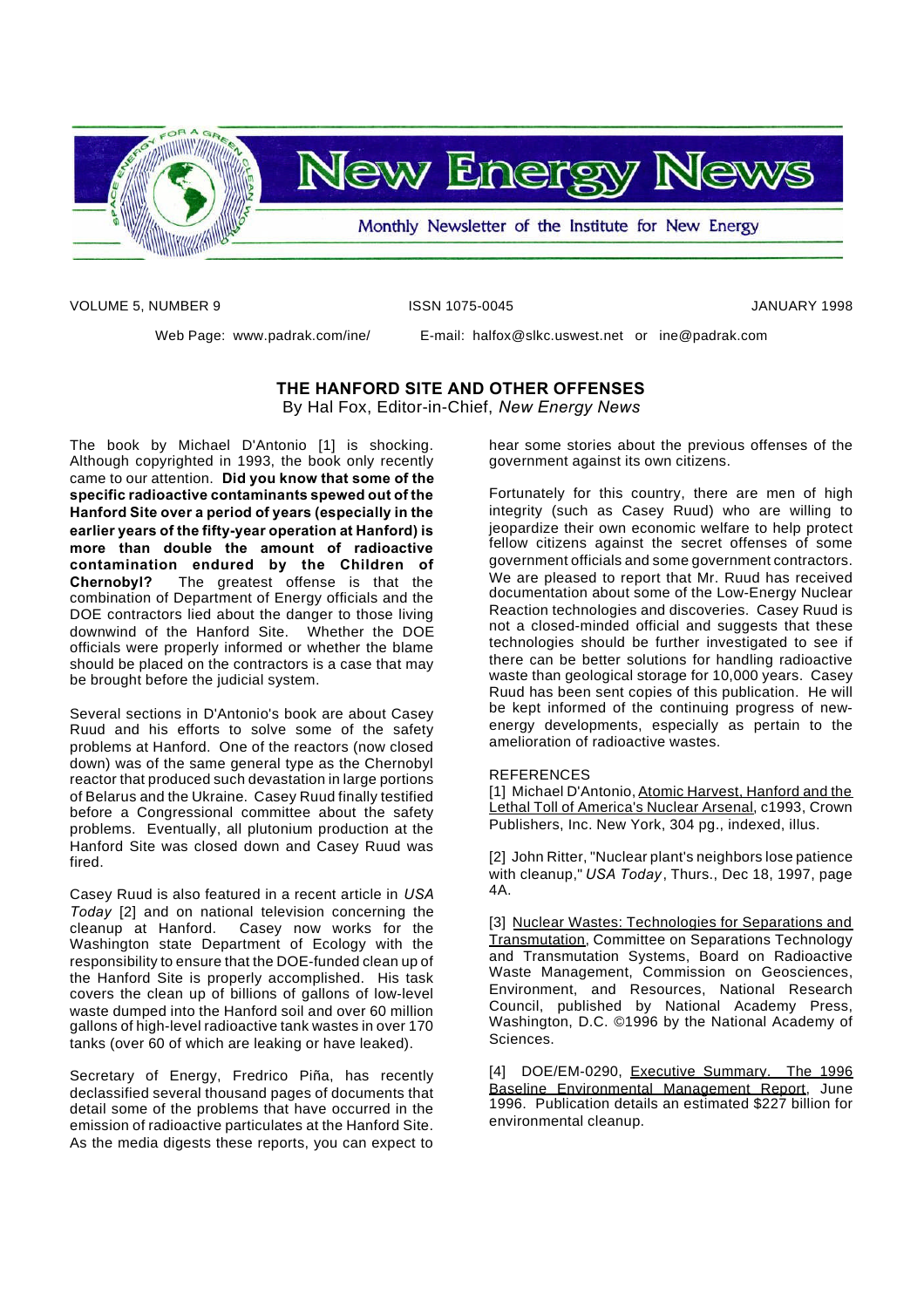

VOLUME 5, NUMBER 9 ISSN 1075-0045 JANUARY 1998

Web Page: www.padrak.com/ine/ E-mail: halfox@slkc.uswest.net or ine@padrak.com

**THE HANFORD SITE AND OTHER OFFENSES** By Hal Fox, Editor-in-Chief, *New Energy News*

The book by Michael D'Antonio [1] is shocking. Although copyrighted in 1993, the book only recently came to our attention. **Did you know that some of the specific radioactive contaminants spewed out of the Hanford Site over a period of years (especially in the earlier years of the fifty-year operation at Hanford) is more than double the amount of radioactive contamination endured by the Children of Chernobyl?** The greatest offense is that the combination of Department of Energy officials and the DOE contractors lied about the danger to those living downwind of the Hanford Site. Whether the DOE officials were properly informed or whether the blame should be placed on the contractors is a case that may be brought before the judicial system.

Several sections in D'Antonio's book are about Casey Ruud and his efforts to solve some of the safety problems at Hanford. One of the reactors (now closed down) was of the same general type as the Chernobyl reactor that produced such devastation in large portions of Belarus and the Ukraine. Casey Ruud finally testified before a Congressional committee about the safety problems. Eventually, all plutonium production at the Hanford Site was closed down and Casey Ruud was fired.

Casey Ruud is also featured in a recent article in *USA Today* [2] and on national television concerning the cleanup at Hanford. Casey now works for the Washington state Department of Ecology with the responsibility to ensure that the DOE-funded clean up of the Hanford Site is properly accomplished. His task covers the clean up of billions of gallons of low-level waste dumped into the Hanford soil and over 60 million gallons of high-level radioactive tank wastes in over 170 tanks (over 60 of which are leaking or have leaked).

Secretary of Energy, Fredrico Piña, has recently declassified several thousand pages of documents that detail some of the problems that have occurred in the emission of radioactive particulates at the Hanford Site. As the media digests these reports, you can expect to hear some stories about the previous offenses of the government against its own citizens.

Fortunately for this country, there are men of high integrity (such as Casey Ruud) who are willing to jeopardize their own economic welfare to help protect fellow citizens against the secret offenses of some government officials and some government contractors. We are pleased to report that Mr. Ruud has received documentation about some of the Low-Energy Nuclear Reaction technologies and discoveries. Casey Ruud is not a closed-minded official and suggests that these technologies should be further investigated to see if there can be better solutions for handling radioactive waste than geological storage for 10,000 years. Casey Ruud has been sent copies of this publication. He will be kept informed of the continuing progress of newenergy developments, especially as pertain to the amelioration of radioactive wastes.

## REFERENCES

[1] Michael D'Antonio, Atomic Harvest, Hanford and the Lethal Toll of America's Nuclear Arsenal, c1993, Crown Publishers, Inc. New York, 304 pg., indexed, illus.

[2] John Ritter, "Nuclear plant's neighbors lose patience with cleanup," *USA Today*, Thurs., Dec 18, 1997, page 4A.

[3] Nuclear Wastes: Technologies for Separations and Transmutation, Committee on Separations Technology and Transmutation Systems, Board on Radioactive Waste Management, Commission on Geosciences, Environment, and Resources, National Research Council, published by National Academy Press, Washington, D.C. ©1996 by the National Academy of Sciences.

[4] DOE/EM-0290, Executive Summary. The 1996 Baseline Environmental Management Report, June 1996. Publication details an estimated \$227 billion for environmental cleanup.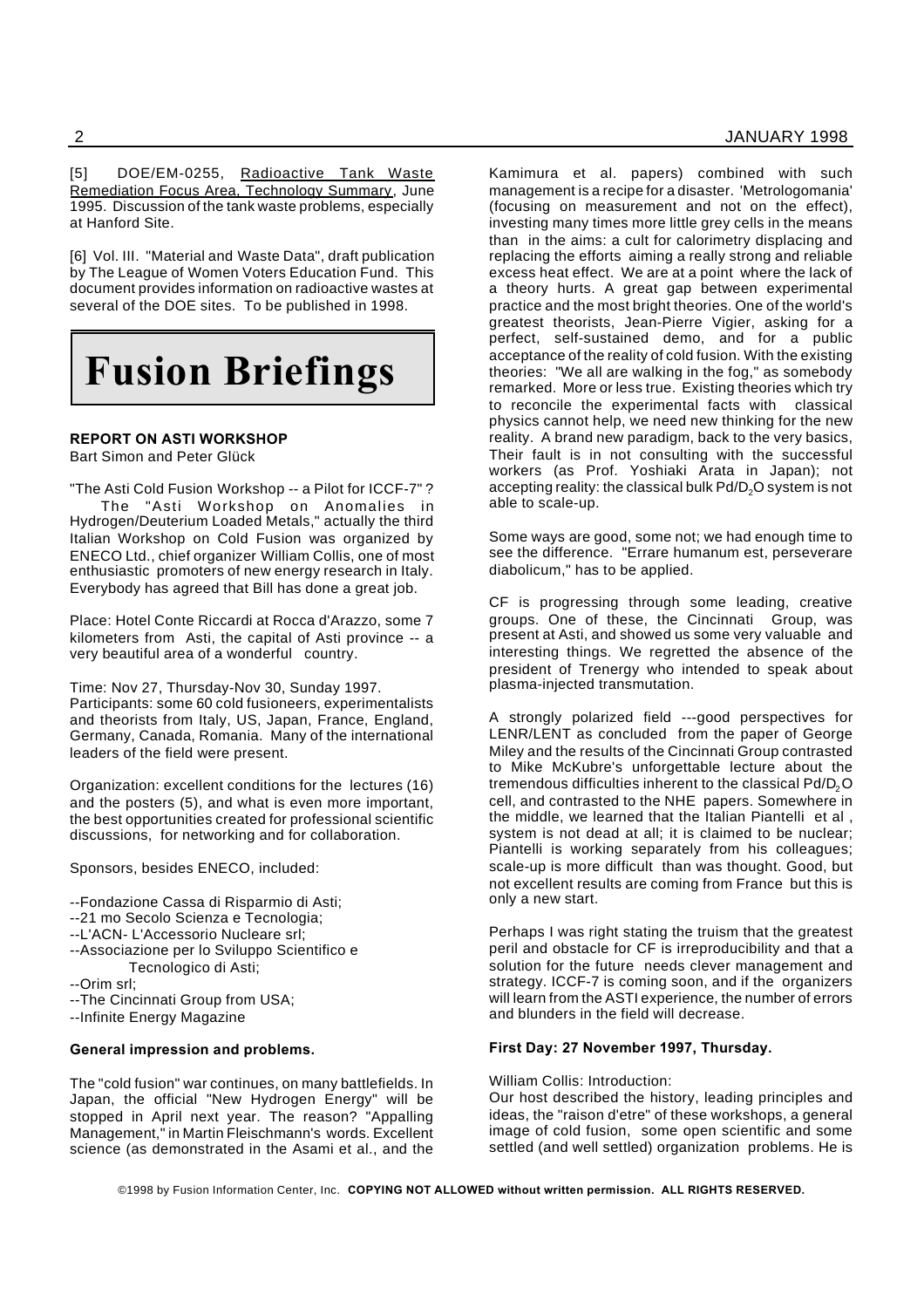[5] DOE/EM-0255, Radioactive Tank Waste Remediation Focus Area, Technology Summary, June 1995. Discussion of the tank waste problems, especially at Hanford Site.

[6] Vol. III. "Material and Waste Data", draft publication by The League of Women Voters Education Fund. This document provides information on radioactive wastes at several of the DOE sites. To be published in 1998.

# **Fusion Briefings**

# **REPORT ON ASTI WORKSHOP**

Bart Simon and Peter Glück

"The Asti Cold Fusion Workshop -- a Pilot for ICCF-7" ? The "Asti Workshop on Anomalies in Hydrogen/Deuterium Loaded Metals," actually the third Italian Workshop on Cold Fusion was organized by ENECO Ltd., chief organizer William Collis, one of most enthusiastic promoters of new energy research in Italy. Everybody has agreed that Bill has done a great job.

Place: Hotel Conte Riccardi at Rocca d'Arazzo, some 7 kilometers from Asti, the capital of Asti province -- a very beautiful area of a wonderful country.

Time: Nov 27, Thursday-Nov 30, Sunday 1997. Participants: some 60 cold fusioneers, experimentalists and theorists from Italy, US, Japan, France, England, Germany, Canada, Romania. Many of the international leaders of the field were present.

Organization: excellent conditions for the lectures (16) and the posters (5), and what is even more important, the best opportunities created for professional scientific discussions, for networking and for collaboration.

Sponsors, besides ENECO, included:

--Fondazione Cassa di Risparmio di Asti; --21 mo Secolo Scienza e Tecnologia; --L'ACN- L'Accessorio Nucleare srl; --Associazione per lo Sviluppo Scientifico e Tecnologico di Asti; --Orim srl; --The Cincinnati Group from USA; --Infinite Energy Magazine

## **General impression and problems.**

The "cold fusion" war continues, on many battlefields. In Japan, the official "New Hydrogen Energy" will be stopped in April next year. The reason? "Appalling Management," in Martin Fleischmann's words. Excellent science (as demonstrated in the Asami et al., and the

Kamimura et al. papers) combined with such management is a recipe for a disaster. 'Metrologomania' (focusing on measurement and not on the effect), investing many times more little grey cells in the means than in the aims: a cult for calorimetry displacing and replacing the efforts aiming a really strong and reliable excess heat effect. We are at a point where the lack of a theory hurts. A great gap between experimental practice and the most bright theories. One of the world's greatest theorists, Jean-Pierre Vigier, asking for a perfect, self-sustained demo, and for a public acceptance of the reality of cold fusion. With the existing theories: "We all are walking in the fog," as somebody remarked. More or less true. Existing theories which try to reconcile the experimental facts with classical physics cannot help, we need new thinking for the new reality. A brand new paradigm, back to the very basics, Their fault is in not consulting with the successful workers (as Prof. Yoshiaki Arata in Japan); not accepting reality: the classical bulk Pd/D<sub>2</sub>O system is not able to scale-up.

Some ways are good, some not; we had enough time to see the difference. "Errare humanum est, perseverare diabolicum," has to be applied.

CF is progressing through some leading, creative groups. One of these, the Cincinnati Group, was present at Asti, and showed us some very valuable and interesting things. We regretted the absence of the president of Trenergy who intended to speak about plasma-injected transmutation.

A strongly polarized field ---good perspectives for LENR/LENT as concluded from the paper of George Miley and the results of the Cincinnati Group contrasted to Mike McKubre's unforgettable lecture about the tremendous difficulties inherent to the classical Pd/D<sub>2</sub>O cell, and contrasted to the NHE papers. Somewhere in the middle, we learned that the Italian Piantelli et al , system is not dead at all; it is claimed to be nuclear; Piantelli is working separately from his colleagues; scale-up is more difficult than was thought. Good, but not excellent results are coming from France but this is only a new start.

Perhaps I was right stating the truism that the greatest peril and obstacle for CF is irreproducibility and that a solution for the future needs clever management and strategy. ICCF-7 is coming soon, and if the organizers will learn from the ASTI experience, the number of errors and blunders in the field will decrease.

# **First Day: 27 November 1997, Thursday.**

William Collis: Introduction:

Our host described the history, leading principles and ideas, the "raison d'etre" of these workshops, a general image of cold fusion, some open scientific and some settled (and well settled) organization problems. He is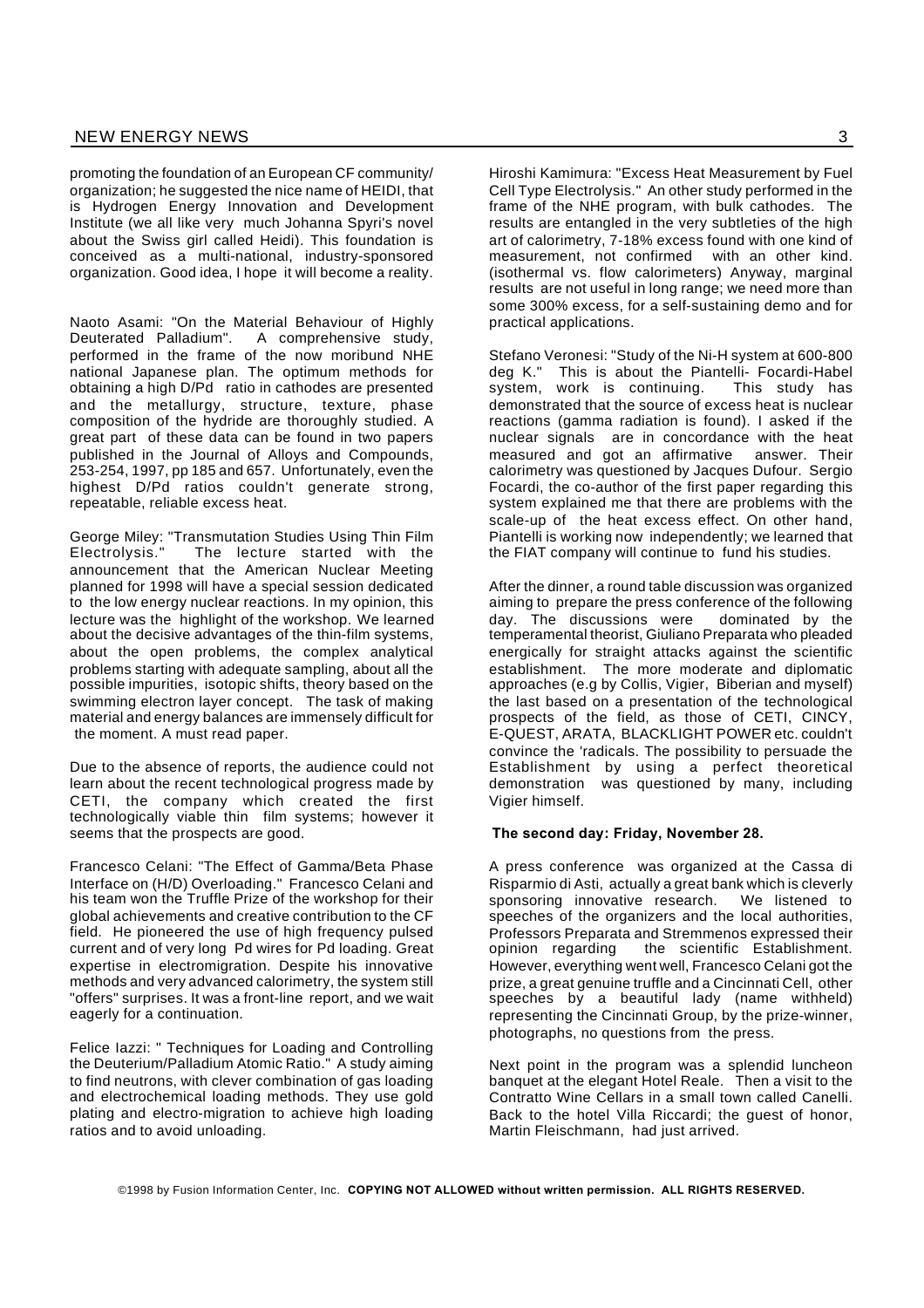promoting the foundation of an European CF community/ organization; he suggested the nice name of HEIDI, that is Hydrogen Energy Innovation and Development Institute (we all like very much Johanna Spyri's novel about the Swiss girl called Heidi). This foundation is conceived as a multi-national, industry-sponsored organization. Good idea, I hope it will become a reality.

Naoto Asami: "On the Material Behaviour of Highly Deuterated Palladium". A comprehensive study, performed in the frame of the now moribund NHE national Japanese plan. The optimum methods for obtaining a high D/Pd ratio in cathodes are presented and the metallurgy, structure, texture, phase composition of the hydride are thoroughly studied. A great part of these data can be found in two papers published in the Journal of Alloys and Compounds, 253-254, 1997, pp 185 and 657. Unfortunately, even the highest D/Pd ratios couldn't generate strong, repeatable, reliable excess heat.

George Miley: "Transmutation Studies Using Thin Film Electrolysis." The lecture started with the announcement that the American Nuclear Meeting planned for 1998 will have a special session dedicated to the low energy nuclear reactions. In my opinion, this lecture was the highlight of the workshop. We learned about the decisive advantages of the thin-film systems, about the open problems, the complex analytical problems starting with adequate sampling, about all the possible impurities, isotopic shifts, theory based on the swimming electron layer concept. The task of making material and energy balances are immensely difficult for the moment. A must read paper.

Due to the absence of reports, the audience could not learn about the recent technological progress made by CETI, the company which created the first technologically viable thin film systems; however it seems that the prospects are good.

Francesco Celani: "The Effect of Gamma/Beta Phase Interface on (H/D) Overloading." Francesco Celani and his team won the Truffle Prize of the workshop for their global achievements and creative contribution to the CF field. He pioneered the use of high frequency pulsed current and of very long Pd wires for Pd loading. Great expertise in electromigration. Despite his innovative methods and very advanced calorimetry, the system still "offers" surprises. It was a front-line report, and we wait eagerly for a continuation.

Felice Iazzi: " Techniques for Loading and Controlling the Deuterium/Palladium Atomic Ratio." A study aiming to find neutrons, with clever combination of gas loading and electrochemical loading methods. They use gold plating and electro-migration to achieve high loading ratios and to avoid unloading.

Hiroshi Kamimura: "Excess Heat Measurement by Fuel Cell Type Electrolysis." An other study performed in the frame of the NHE program, with bulk cathodes. The results are entangled in the very subtleties of the high art of calorimetry, 7-18% excess found with one kind of measurement, not confirmed with an other kind. (isothermal vs. flow calorimeters) Anyway, marginal results are not useful in long range; we need more than some 300% excess, for a self-sustaining demo and for practical applications.

Stefano Veronesi: "Study of the Ni-H system at 600-800 deg K." This is about the Piantelli- Focardi-Habel<br>system, work is continuing. This study has system, work is continuing. demonstrated that the source of excess heat is nuclear reactions (gamma radiation is found). I asked if the nuclear signals are in concordance with the heat measured and got an affirmative answer. Their calorimetry was questioned by Jacques Dufour. Sergio Focardi, the co-author of the first paper regarding this system explained me that there are problems with the scale-up of the heat excess effect. On other hand, Piantelli is working now independently; we learned that the FIAT company will continue to fund his studies.

After the dinner, a round table discussion was organized aiming to prepare the press conference of the following day. The discussions were dominated by the temperamental theorist, Giuliano Preparata who pleaded energically for straight attacks against the scientific establishment. The more moderate and diplomatic approaches (e.g by Collis, Vigier, Biberian and myself) the last based on a presentation of the technological prospects of the field, as those of CETI, CINCY, E-QUEST, ARATA, BLACKLIGHT POWER etc. couldn't convince the 'radicals. The possibility to persuade the Establishment by using a perfect theoretical demonstration was questioned by many, including Vigier himself.

#### **The second day: Friday, November 28.**

A press conference was organized at the Cassa di Risparmio di Asti, actually a great bank which is cleverly sponsoring innovative research. We listened to speeches of the organizers and the local authorities, Professors Preparata and Stremmenos expressed their opinion regarding the scientific Establishment. However, everything went well, Francesco Celani got the prize, a great genuine truffle and a Cincinnati Cell, other speeches by a beautiful lady (name withheld) representing the Cincinnati Group, by the prize-winner, photographs, no questions from the press.

Next point in the program was a splendid luncheon banquet at the elegant Hotel Reale. Then a visit to the Contratto Wine Cellars in a small town called Canelli. Back to the hotel Villa Riccardi; the guest of honor, Martin Fleischmann, had just arrived.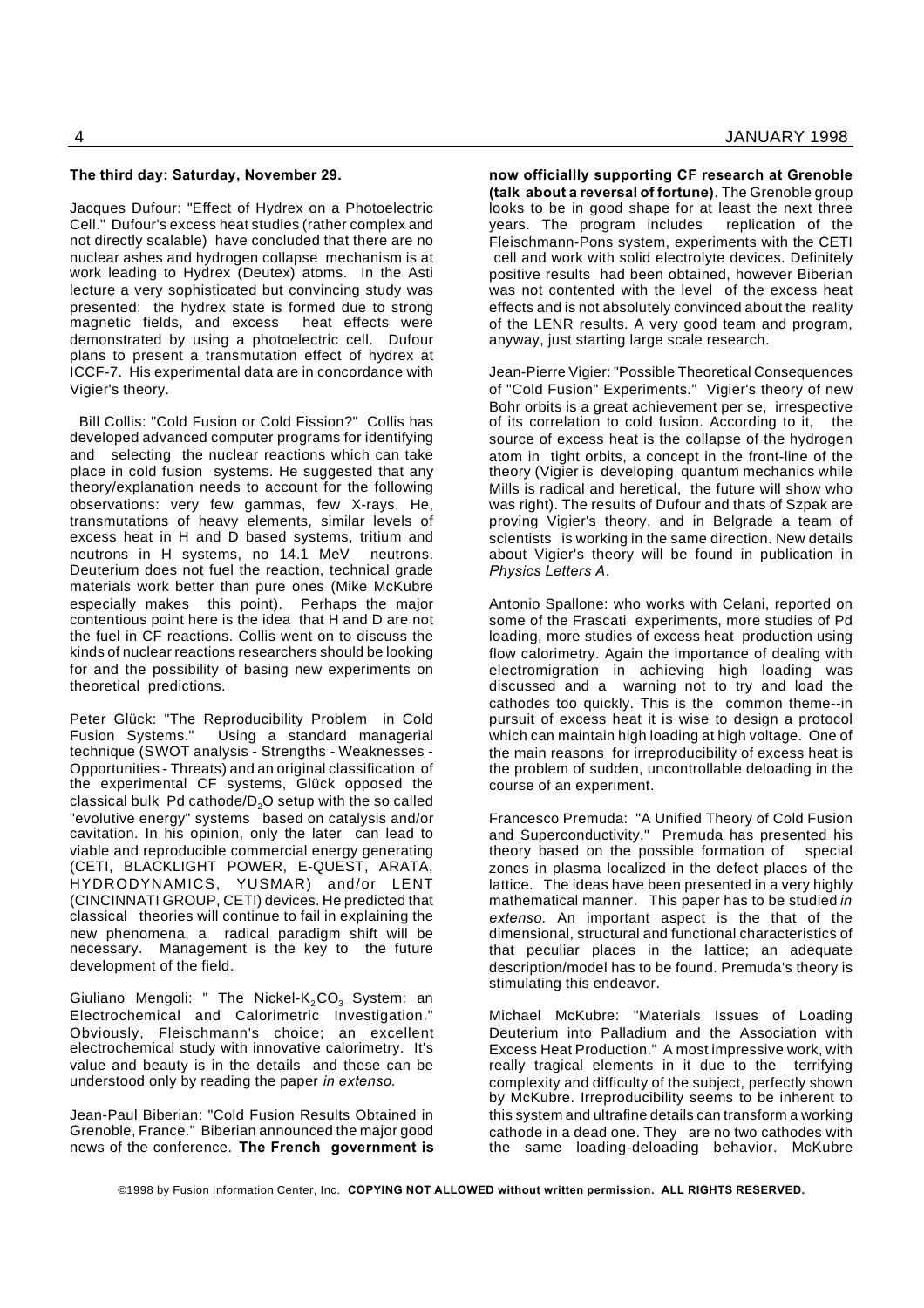#### **The third day: Saturday, November 29.**

Jacques Dufour: "Effect of Hydrex on a Photoelectric Cell." Dufour's excess heat studies (rather complex and not directly scalable) have concluded that there are no nuclear ashes and hydrogen collapse mechanism is at work leading to Hydrex (Deutex) atoms. In the Asti lecture a very sophisticated but convincing study was presented: the hydrex state is formed due to strong magnetic fields, and excess demonstrated by using a photoelectric cell. Dufour plans to present a transmutation effect of hydrex at ICCF-7. His experimental data are in concordance with Vigier's theory.

Bill Collis: "Cold Fusion or Cold Fission?" Collis has developed advanced computer programs for identifying and selecting the nuclear reactions which can take place in cold fusion systems. He suggested that any theory/explanation needs to account for the following observations: very few gammas, few X-rays, He, transmutations of heavy elements, similar levels of excess heat in H and D based systems, tritium and neutrons in H systems, no 14.1 MeV neutrons. Deuterium does not fuel the reaction, technical grade materials work better than pure ones (Mike McKubre especially makes this point). Perhaps the major contentious point here is the idea that H and D are not the fuel in CF reactions. Collis went on to discuss the kinds of nuclear reactions researchers should be looking for and the possibility of basing new experiments on theoretical predictions.

Peter Glück: "The Reproducibility Problem in Cold Fusion Systems." Using a standard managerial technique (SWOT analysis - Strengths - Weaknesses - Opportunities - Threats) and an original classification of the experimental CF systems, Glück opposed the classical bulk  $Pd$  cathode/ $D<sub>2</sub>O$  setup with the so called "evolutive energy" systems based on catalysis and/or cavitation. In his opinion, only the later can lead to viable and reproducible commercial energy generating (CETI, BLACKLIGHT POWER, E-QUEST, ARATA, HYDRODYNAMICS, YUSMAR) and/or LENT (CINCINNATI GROUP, CETI) devices. He predicted that classical theories will continue to fail in explaining the new phenomena, a radical paradigm shift will be necessary. Management is the key to the future development of the field.

Giuliano Mengoli: " The Nickel- $K_2CO_3$  System: an Electrochemical and Calorimetric Investigation." Obviously, Fleischmann's choice; an excellent electrochemical study with innovative calorimetry. It's value and beauty is in the details and these can be understood only by reading the paper *in extenso*.

Jean-Paul Biberian: "Cold Fusion Results Obtained in Grenoble, France." Biberian announced the major good news of the conference. **The French government is** **now officiallly supporting CF research at Grenoble (talk about a reversal of fortune)**. The Grenoble group looks to be in good shape for at least the next three years. The program includes replication of the Fleischmann-Pons system, experiments with the CETI cell and work with solid electrolyte devices. Definitely positive results had been obtained, however Biberian was not contented with the level of the excess heat effects and is not absolutely convinced about the reality of the LENR results. A very good team and program, anyway, just starting large scale research.

Jean-Pierre Vigier: "Possible Theoretical Consequences of "Cold Fusion" Experiments." Vigier's theory of new Bohr orbits is a great achievement per se, irrespective of its correlation to cold fusion. According to it, the source of excess heat is the collapse of the hydrogen atom in tight orbits, a concept in the front-line of the theory (Vigier is developing quantum mechanics while Mills is radical and heretical, the future will show who was right). The results of Dufour and thats of Szpak are proving Vigier's theory, and in Belgrade a team of scientists is working in the same direction. New details about Vigier's theory will be found in publication in *Physics Letters A*.

Antonio Spallone: who works with Celani, reported on some of the Frascati experiments, more studies of Pd loading, more studies of excess heat production using flow calorimetry. Again the importance of dealing with electromigration in achieving high loading was discussed and a warning not to try and load the cathodes too quickly. This is the common theme--in pursuit of excess heat it is wise to design a protocol which can maintain high loading at high voltage. One of the main reasons for irreproducibility of excess heat is the problem of sudden, uncontrollable deloading in the course of an experiment.

Francesco Premuda: "A Unified Theory of Cold Fusion and Superconductivity." Premuda has presented his theory based on the possible formation of special zones in plasma localized in the defect places of the lattice. The ideas have been presented in a very highly mathematical manner. This paper has to be studied *in extenso*. An important aspect is the that of the dimensional, structural and functional characteristics of that peculiar places in the lattice; an adequate description/model has to be found. Premuda's theory is stimulating this endeavor.

Michael McKubre: "Materials Issues of Loading Deuterium into Palladium and the Association with Excess Heat Production." A most impressive work, with really tragical elements in it due to the terrifying complexity and difficulty of the subject, perfectly shown by McKubre. Irreproducibility seems to be inherent to this system and ultrafine details can transform a working cathode in a dead one. They are no two cathodes with the same loading-deloading behavior. McKubre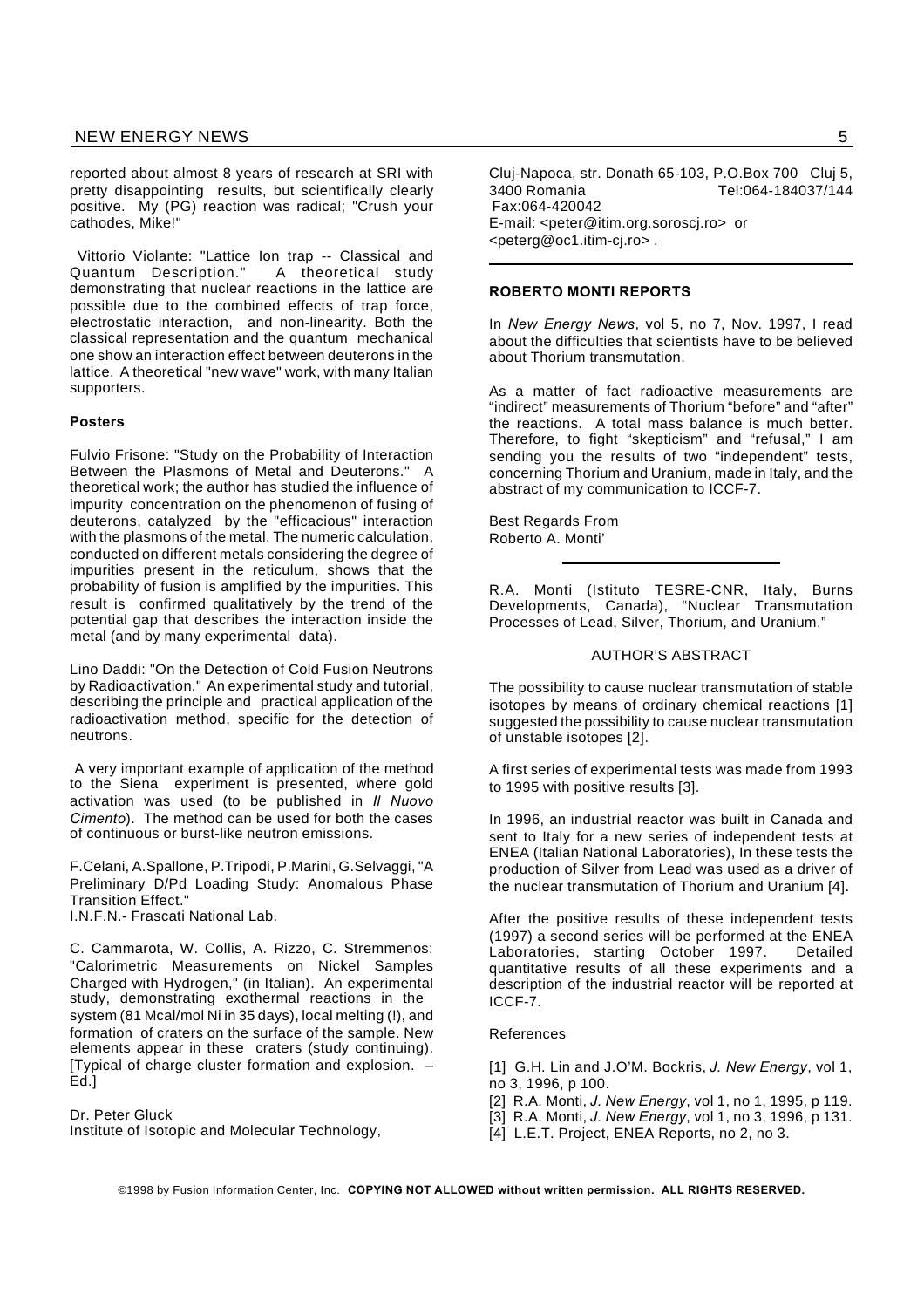reported about almost 8 years of research at SRI with pretty disappointing results, but scientifically clearly positive. My (PG) reaction was radical; "Crush your cathodes, Mike!"

Vittorio Violante: "Lattice Ion trap -- Classical and Quantum Description." A theoretical study demonstrating that nuclear reactions in the lattice are possible due to the combined effects of trap force, electrostatic interaction, and non-linearity. Both the classical representation and the quantum mechanical one show an interaction effect between deuterons in the lattice. A theoretical "new wave" work, with many Italian supporters.

#### **Posters**

Fulvio Frisone: "Study on the Probability of Interaction Between the Plasmons of Metal and Deuterons." A theoretical work; the author has studied the influence of impurity concentration on the phenomenon of fusing of deuterons, catalyzed by the "efficacious" interaction with the plasmons of the metal. The numeric calculation, conducted on different metals considering the degree of impurities present in the reticulum, shows that the probability of fusion is amplified by the impurities. This result is confirmed qualitatively by the trend of the potential gap that describes the interaction inside the metal (and by many experimental data).

Lino Daddi: "On the Detection of Cold Fusion Neutrons by Radioactivation." An experimental study and tutorial, describing the principle and practical application of the radioactivation method, specific for the detection of neutrons.

A very important example of application of the method to the Siena experiment is presented, where gold activation was used (to be published in *Il Nuovo Cimento*). The method can be used for both the cases of continuous or burst-like neutron emissions.

F.Celani, A.Spallone, P.Tripodi, P.Marini, G.Selvaggi, "A Preliminary D/Pd Loading Study: Anomalous Phase Transition Effect."

I.N.F.N.- Frascati National Lab.

C. Cammarota, W. Collis, A. Rizzo, C. Stremmenos: "Calorimetric Measurements on Nickel Samples Charged with Hydrogen," (in Italian). An experimental study, demonstrating exothermal reactions in the system (81 Mcal/mol Ni in 35 days), local melting (!), and formation of craters on the surface of the sample. New elements appear in these craters (study continuing). [Typical of charge cluster formation and explosion. – Ed.]

Dr. Peter Gluck

Institute of Isotopic and Molecular Technology,

Cluj-Napoca, str. Donath 65-103, P.O.Box 700 Cluj 5, 3400 Romania Tel:064-184037/144 Fax:064-420042 E-mail: <peter@itim.org.soroscj.ro> or <peterg@oc1.itim-cj.ro> .

#### **ROBERTO MONTI REPORTS**

In *New Energy News*, vol 5, no 7, Nov. 1997, I read about the difficulties that scientists have to be believed about Thorium transmutation.

As a matter of fact radioactive measurements are "indirect" measurements of Thorium "before" and "after" the reactions. A total mass balance is much better. Therefore, to fight "skepticism" and "refusal," I am sending you the results of two "independent" tests, concerning Thorium and Uranium, made in Italy, and the abstract of my communication to ICCF-7.

Best Regards From Roberto A. Monti'

R.A. Monti (Istituto TESRE-CNR, Italy, Burns Developments, Canada), "Nuclear Transmutation Processes of Lead, Silver, Thorium, and Uranium."

#### AUTHOR'S ABSTRACT

The possibility to cause nuclear transmutation of stable isotopes by means of ordinary chemical reactions [1] suggested the possibility to cause nuclear transmutation of unstable isotopes [2].

A first series of experimental tests was made from 1993 to 1995 with positive results [3].

In 1996, an industrial reactor was built in Canada and sent to Italy for a new series of independent tests at ENEA (Italian National Laboratories), In these tests the production of Silver from Lead was used as a driver of the nuclear transmutation of Thorium and Uranium [4].

After the positive results of these independent tests (1997) a second series will be performed at the ENEA Laboratories, starting October 1997. Detailed quantitative results of all these experiments and a description of the industrial reactor will be reported at ICCF-7.

# References

[1] G.H. Lin and J.O'M. Bockris, *J. New Energy*, vol 1, no 3, 1996, p 100.

- [2] R.A. Monti, *J. New Energy*, vol 1, no 1, 1995, p 119.
- [3] R.A. Monti, *J. New Energy*, vol 1, no 3, 1996, p 131.
- [4] L.E.T. Project, ENEA Reports, no 2, no 3.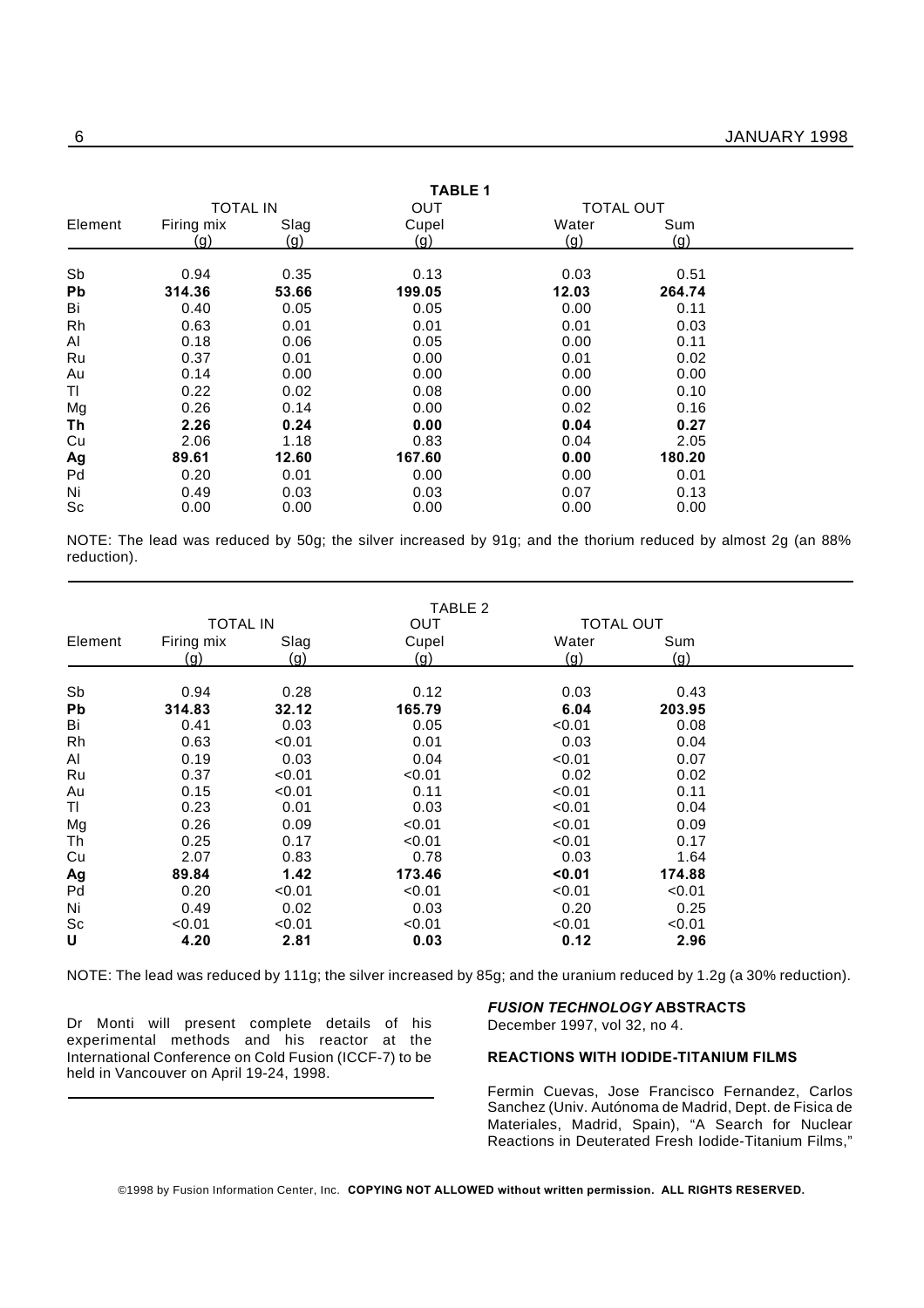| <b>TABLE 1</b> |                   |               |                |                  |                |  |
|----------------|-------------------|---------------|----------------|------------------|----------------|--|
|                | <b>TOTAL IN</b>   |               | OUT            | <b>TOTAL OUT</b> |                |  |
| Element        | Firing mix<br>(g) | Slag<br>(g)   | Cupel<br>(g)   | Water<br>(g)     | Sum<br>(g)     |  |
| Sb             | 0.94              | 0.35          | 0.13           | 0.03             | 0.51           |  |
| Pb<br>Bi       | 314.36<br>0.40    | 53.66<br>0.05 | 199.05<br>0.05 | 12.03<br>0.00    | 264.74<br>0.11 |  |
| Rh             | 0.63              | 0.01          | 0.01           | 0.01             | 0.03           |  |
| Al             | 0.18              | 0.06          | 0.05           | 0.00             | 0.11           |  |
| Ru             | 0.37              | 0.01          | 0.00           | 0.01             | 0.02           |  |
| Au             | 0.14              | 0.00          | 0.00           | 0.00             | 0.00           |  |
| ΤI             | 0.22              | 0.02          | 0.08           | 0.00             | 0.10           |  |
| Mg             | 0.26              | 0.14          | 0.00           | 0.02             | 0.16           |  |
| Τh             | 2.26              | 0.24          | 0.00           | 0.04             | 0.27           |  |
| Cu             | 2.06              | 1.18          | 0.83           | 0.04             | 2.05           |  |
| Ag             | 89.61             | 12.60         | 167.60         | 0.00             | 180.20         |  |
| Pd             | 0.20              | 0.01          | 0.00           | 0.00             | 0.01           |  |
| Ni             | 0.49              | 0.03          | 0.03           | 0.07             | 0.13           |  |
| Sc             | 0.00              | 0.00          | 0.00           | 0.00             | 0.00           |  |

NOTE: The lead was reduced by 50g; the silver increased by 91g; and the thorium reduced by almost 2g (an 88% reduction).

|         |                 |        | TABLE 2 |        |                  |  |
|---------|-----------------|--------|---------|--------|------------------|--|
|         | <b>TOTAL IN</b> |        | OUT     |        | <b>TOTAL OUT</b> |  |
| Element | Firing mix      | Slag   | Cupel   | Water  | Sum              |  |
|         | (g)             | (g)    | (q)     | (q)    | (q)              |  |
| Sb      | 0.94            | 0.28   | 0.12    | 0.03   | 0.43             |  |
| Pb      | 314.83          | 32.12  | 165.79  | 6.04   | 203.95           |  |
| Bi      | 0.41            | 0.03   | 0.05    | < 0.01 | 0.08             |  |
| Rh      | 0.63            | < 0.01 | 0.01    | 0.03   | 0.04             |  |
| Al      | 0.19            | 0.03   | 0.04    | < 0.01 | 0.07             |  |
| Ru      | 0.37            | < 0.01 | < 0.01  | 0.02   | 0.02             |  |
| Au      | 0.15            | < 0.01 | 0.11    | < 0.01 | 0.11             |  |
| TI      | 0.23            | 0.01   | 0.03    | < 0.01 | 0.04             |  |
| Mg      | 0.26            | 0.09   | < 0.01  | < 0.01 | 0.09             |  |
| Th      | 0.25            | 0.17   | < 0.01  | < 0.01 | 0.17             |  |
| Cu      | 2.07            | 0.83   | 0.78    | 0.03   | 1.64             |  |
| Ag      | 89.84           | 1.42   | 173.46  | 0.01   | 174.88           |  |
| Pd      | 0.20            | < 0.01 | < 0.01  | < 0.01 | < 0.01           |  |
| Ni      | 0.49            | 0.02   | 0.03    | 0.20   | 0.25             |  |
| Sc      | < 0.01          | < 0.01 | < 0.01  | < 0.01 | < 0.01           |  |
| U       | 4.20            | 2.81   | 0.03    | 0.12   | 2.96             |  |

NOTE: The lead was reduced by 111g; the silver increased by 85g; and the uranium reduced by 1.2g (a 30% reduction).

Dr Monti will present complete details of his experimental methods and his reactor at the International Conference on Cold Fusion (ICCF-7) to be held in Vancouver on April 19-24, 1998.

# *FUSION TECHNOLOGY* **ABSTRACTS** December 1997, vol 32, no 4.

# **REACTIONS WITH IODIDE-TITANIUM FILMS**

Fermin Cuevas, Jose Francisco Fernandez, Carlos Sanchez (Univ. Autónoma de Madrid, Dept. de Fisica de Materiales, Madrid, Spain), "A Search for Nuclear Reactions in Deuterated Fresh Iodide-Titanium Films,"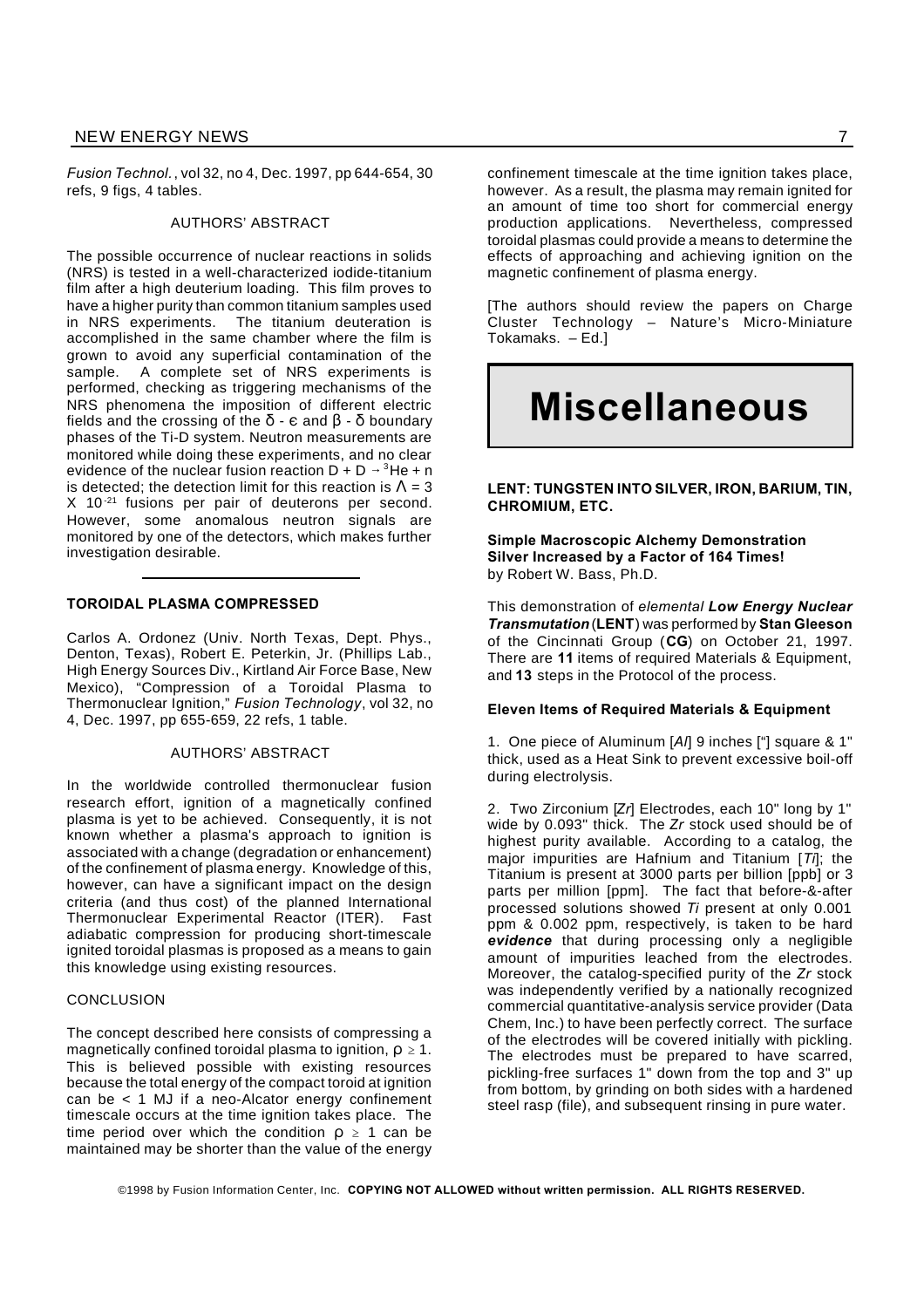*Fusion Technol.*, vol 32, no 4, Dec. 1997, pp 644-654, 30 refs, 9 figs, 4 tables.

#### AUTHORS' ABSTRACT

The possible occurrence of nuclear reactions in solids (NRS) is tested in a well-characterized iodide-titanium film after a high deuterium loading. This film proves to have a higher purity than common titanium samples used in NRS experiments. The titanium deuteration is accomplished in the same chamber where the film is grown to avoid any superficial contamination of the sample. A complete set of NRS experiments is performed, checking as triggering mechanisms of the NRS phenomena the imposition of different electric fields and the crossing of the  $\delta$  -  $\epsilon$  and  $\beta$  -  $\delta$  boundary phases of the Ti-D system. Neutron measurements are monitored while doing these experiments, and no clear evidence of the nuclear fusion reaction  $D + D \rightarrow 3He + n$ is detected; the detection limit for this reaction is  $\Lambda = 3$ X 10-21 fusions per pair of deuterons per second. However, some anomalous neutron signals are monitored by one of the detectors, which makes further investigation desirable.

# **TOROIDAL PLASMA COMPRESSED**

Carlos A. Ordonez (Univ. North Texas, Dept. Phys., Denton, Texas), Robert E. Peterkin, Jr. (Phillips Lab., High Energy Sources Div., Kirtland Air Force Base, New Mexico), "Compression of a Toroidal Plasma to Thermonuclear Ignition," *Fusion Technology*, vol 32, no 4, Dec. 1997, pp 655-659, 22 refs, 1 table.

#### AUTHORS' ABSTRACT

In the worldwide controlled thermonuclear fusion research effort, ignition of a magnetically confined plasma is yet to be achieved. Consequently, it is not known whether a plasma's approach to ignition is associated with a change (degradation or enhancement) of the confinement of plasma energy. Knowledge of this, however, can have a significant impact on the design criteria (and thus cost) of the planned International Thermonuclear Experimental Reactor (ITER). Fast adiabatic compression for producing short-timescale ignited toroidal plasmas is proposed as a means to gain this knowledge using existing resources.

#### **CONCLUSION**

The concept described here consists of compressing a magnetically confined toroidal plasma to ignition,  $\rho \geq 1$ . This is believed possible with existing resources because the total energy of the compact toroid at ignition can be < 1 MJ if a neo-Alcator energy confinement timescale occurs at the time ignition takes place. The time period over which the condition  $\rho \geq 1$  can be maintained may be shorter than the value of the energy

confinement timescale at the time ignition takes place, however. As a result, the plasma may remain ignited for an amount of time too short for commercial energy production applications. Nevertheless, compressed toroidal plasmas could provide a means to determine the effects of approaching and achieving ignition on the magnetic confinement of plasma energy.

[The authors should review the papers on Charge Cluster Technology – Nature's Micro-Miniature Tokamaks. – Ed.]

# **Miscellaneous**

**LENT: TUNGSTEN INTO SILVER, IRON, BARIUM, TIN, CHROMIUM, ETC.**

**Simple Macroscopic Alchemy Demonstration Silver Increased by a Factor of 164 Times!** by Robert W. Bass, Ph.D.

This demonstration of *elemental Low Energy Nuclear Transmutation* (**LENT**) was performed by **Stan Gleeson** of the Cincinnati Group (**CG**) on October 21, 1997. There are **11** items of required Materials & Equipment, and **13** steps in the Protocol of the process.

#### **Eleven Items of Required Materials & Equipment**

1. One piece of Aluminum [*Al*] 9 inches ["] square & 1" thick, used as a Heat Sink to prevent excessive boil-off during electrolysis.

2. Two Zirconium [*Zr*] Electrodes, each 10" long by 1" wide by 0.093" thick. The *Zr* stock used should be of highest purity available. According to a catalog, the major impurities are Hafnium and Titanium [*Ti*]; the Titanium is present at 3000 parts per billion [ppb] or 3 parts per million [ppm]. The fact that before-&-after processed solutions showed *Ti* present at only 0.001 ppm & 0.002 ppm, respectively, is taken to be hard *evidence* that during processing only a negligible amount of impurities leached from the electrodes. Moreover, the catalog-specified purity of the *Zr* stock was independently verified by a nationally recognized commercial quantitative-analysis service provider (Data Chem, Inc.) to have been perfectly correct. The surface of the electrodes will be covered initially with pickling. The electrodes must be prepared to have scarred, pickling-free surfaces 1" down from the top and 3" up from bottom, by grinding on both sides with a hardened steel rasp (file), and subsequent rinsing in pure water.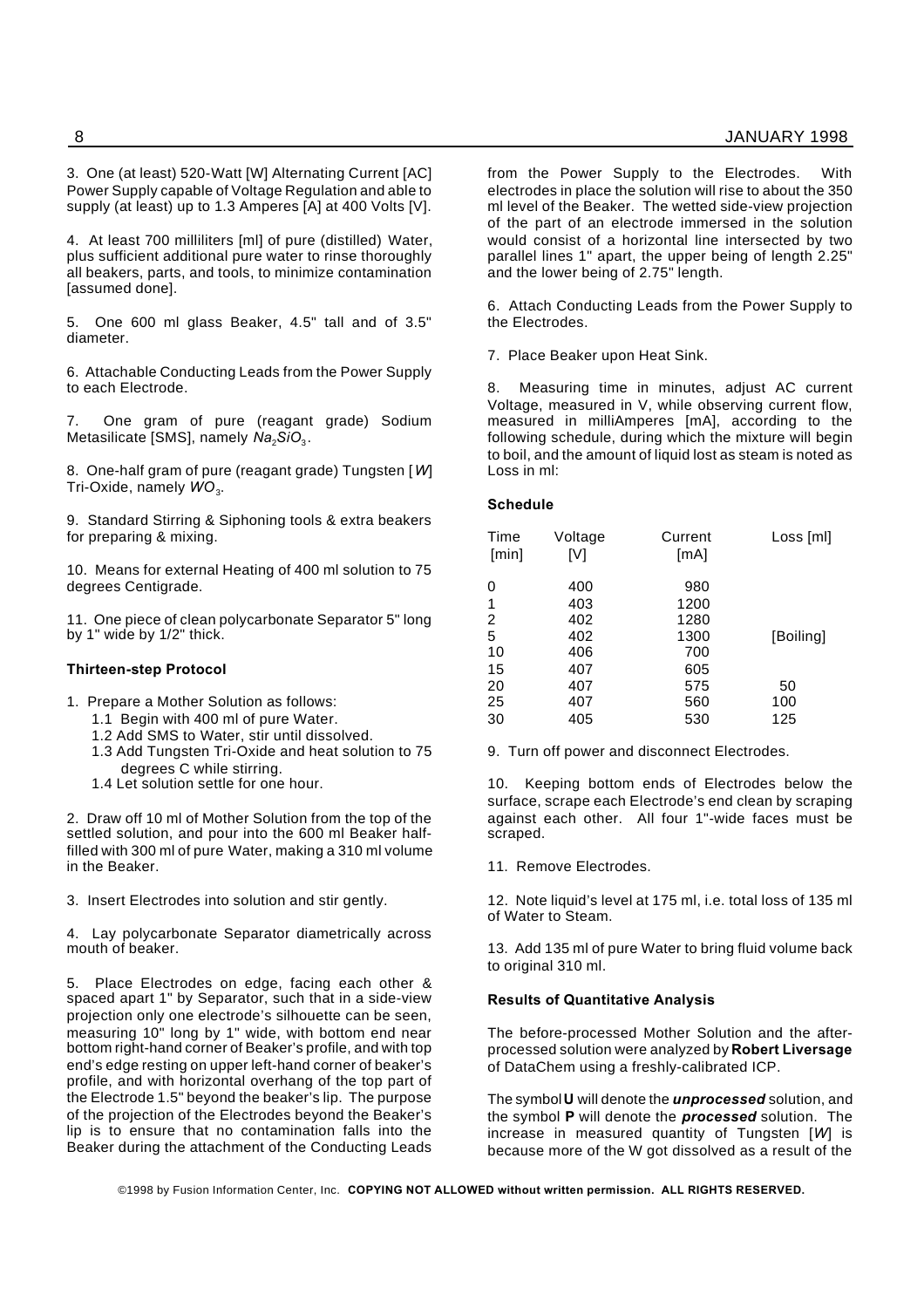3. One (at least) 520-Watt [W] Alternating Current [AC] Power Supply capable of Voltage Regulation and able to supply (at least) up to 1.3 Amperes [A] at 400 Volts [V].

4. At least 700 milliliters [ml] of pure (distilled) Water, plus sufficient additional pure water to rinse thoroughly all beakers, parts, and tools, to minimize contamination [assumed done].

5. One 600 ml glass Beaker, 4.5" tall and of 3.5" diameter.

6. Attachable Conducting Leads from the Power Supply to each Electrode.

7. One gram of pure (reagant grade) Sodium Metasilicate [SMS], namely *Na<sub>2</sub>SiO*<sub>3</sub>.

8. One-half gram of pure (reagant grade) Tungsten [*W*] Tri-Oxide, namely WO<sub>3</sub>.

9. Standard Stirring & Siphoning tools & extra beakers for preparing & mixing.

10. Means for external Heating of 400 ml solution to 75 degrees Centigrade.

11. One piece of clean polycarbonate Separator 5" long by 1" wide by 1/2" thick.

#### **Thirteen-step Protocol**

- 1. Prepare a Mother Solution as follows:
	- 1.1 Begin with 400 ml of pure Water.
	- 1.2 Add SMS to Water, stir until dissolved.
	- 1.3 Add Tungsten Tri-Oxide and heat solution to 75 degrees C while stirring.
	- 1.4 Let solution settle for one hour.

2. Draw off 10 ml of Mother Solution from the top of the settled solution, and pour into the 600 ml Beaker halffilled with 300 ml of pure Water, making a 310 ml volume in the Beaker.

3. Insert Electrodes into solution and stir gently.

4. Lay polycarbonate Separator diametrically across mouth of beaker.

5. Place Electrodes on edge, facing each other & spaced apart 1" by Separator, such that in a side-view projection only one electrode's silhouette can be seen, measuring 10" long by 1" wide, with bottom end near bottom right-hand corner of Beaker's profile, and with top end's edge resting on upper left-hand corner of beaker's profile, and with horizontal overhang of the top part of the Electrode 1.5" beyond the beaker's lip. The purpose of the projection of the Electrodes beyond the Beaker's lip is to ensure that no contamination falls into the Beaker during the attachment of the Conducting Leads from the Power Supply to the Electrodes. With electrodes in place the solution will rise to about the 350 ml level of the Beaker. The wetted side-view projection of the part of an electrode immersed in the solution would consist of a horizontal line intersected by two parallel lines 1" apart, the upper being of length 2.25" and the lower being of 2.75" length.

6. Attach Conducting Leads from the Power Supply to the Electrodes.

7. Place Beaker upon Heat Sink.

8. Measuring time in minutes, adjust AC current Voltage, measured in V, while observing current flow, measured in milliAmperes [mA], according to the following schedule, during which the mixture will begin to boil, and the amount of liquid lost as steam is noted as Loss in ml:

# **Schedule**

| Time<br>[min] | Voltage<br>[V] | Current<br>[mA] | Loss [ml] |
|---------------|----------------|-----------------|-----------|
| 0             | 400            | 980             |           |
| 1             | 403            | 1200            |           |
| 2             | 402            | 1280            |           |
| 5             | 402            | 1300            | [Boiling] |
| 10            | 406            | 700             |           |
| 15            | 407            | 605             |           |
| 20            | 407            | 575             | 50        |
| 25            | 407            | 560             | 100       |
| 30            | 405            | 530             | 125       |
|               |                |                 |           |

9. Turn off power and disconnect Electrodes.

10. Keeping bottom ends of Electrodes below the surface, scrape each Electrode's end clean by scraping against each other. All four 1"-wide faces must be scraped.

11. Remove Electrodes.

12. Note liquid's level at 175 ml, i.e. total loss of 135 ml of Water to Steam.

13. Add 135 ml of pure Water to bring fluid volume back to original 310 ml.

#### **Results of Quantitative Analysis**

The before-processed Mother Solution and the afterprocessed solution were analyzed by **Robert Liversage** of DataChem using a freshly-calibrated ICP.

The symbol**U** will denote the *unprocessed* solution, and the symbol **P** will denote the *processed* solution. The increase in measured quantity of Tungsten [*W*] is because more of the W got dissolved as a result of the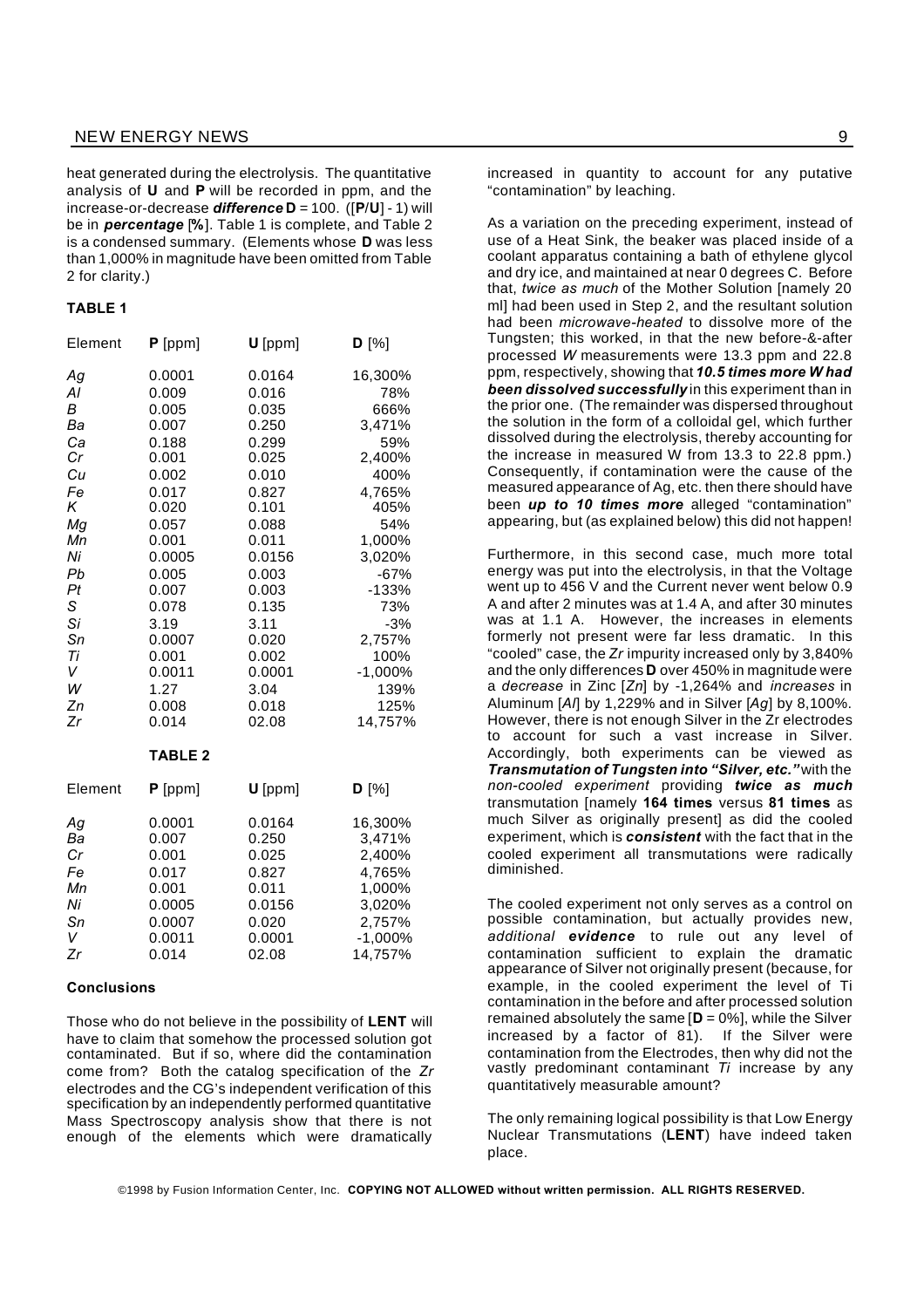heat generated during the electrolysis. The quantitative analysis of **U** and **P** will be recorded in ppm, and the increase-or-decrease *difference* **D** = 100. ([**P**/**U**] - 1) will be in *percentage* [**%**]. Table 1 is complete, and Table 2 is a condensed summary. (Elements whose **D** was less than 1,000% in magnitude have been omitted from Table 2 for clarity.)

#### **TABLE 1**

| Element                                                                                                                     | $P$ [ppm]                                                                                                                                                                                            | $U$ [ppm]                                                                                                                                                                                           | $D^{[%]}$                                                                                                                                                                                              |
|-----------------------------------------------------------------------------------------------------------------------------|------------------------------------------------------------------------------------------------------------------------------------------------------------------------------------------------------|-----------------------------------------------------------------------------------------------------------------------------------------------------------------------------------------------------|--------------------------------------------------------------------------------------------------------------------------------------------------------------------------------------------------------|
| Аg<br>Al<br>В<br>Ba<br>Ca<br>Cr<br>Cu<br>Fe<br>Κ<br>Mg<br>Мn<br>Ni<br>Pb<br>Pt<br>S<br>Si<br>Sn<br>Ti<br>V<br>W<br>Zn<br>Zr | 0.0001<br>0.009<br>0.005<br>0.007<br>0.188<br>0.001<br>0.002<br>0.017<br>0.020<br>0.057<br>0.001<br>0.0005<br>0.005<br>0.007<br>0.078<br>3.19<br>0.0007<br>0.001<br>0.0011<br>1.27<br>0.008<br>0.014 | 0.0164<br>0.016<br>0.035<br>0.250<br>0.299<br>0.025<br>0.010<br>0.827<br>0.101<br>0.088<br>0.011<br>0.0156<br>0.003<br>0.003<br>0.135<br>3.11<br>0.020<br>0.002<br>0.0001<br>3.04<br>0.018<br>02.08 | 16,300%<br>78%<br>666%<br>3,471%<br>59%<br>2,400%<br>400%<br>4,765%<br>405%<br>54%<br>1,000%<br>3,020%<br>$-67%$<br>$-133%$<br>73%<br>$-3%$<br>2,757%<br>100%<br>$-1,000\%$<br>139%<br>125%<br>14,757% |
|                                                                                                                             | <b>TABLE 2</b>                                                                                                                                                                                       |                                                                                                                                                                                                     |                                                                                                                                                                                                        |
| Element                                                                                                                     | $P$ [ppm]                                                                                                                                                                                            | $U$ [ppm]                                                                                                                                                                                           | $D^{[%]}$                                                                                                                                                                                              |
| Аg<br>Ba<br>Cr<br>Fe<br>Мn<br>Ni<br>Sn<br>V<br>Zr                                                                           | 0.0001<br>0.007<br>0.001<br>0.017<br>0.001<br>0.0005<br>0.0007<br>0.0011<br>0.014                                                                                                                    | 0.0164<br>0.250<br>0.025<br>0.827<br>0.011<br>0.0156<br>0.020<br>0.0001<br>02.08                                                                                                                    | 16,300%<br>3,471%<br>2,400%<br>4,765%<br>1,000%<br>3,020%<br>2,757%<br>$-1,000%$<br>14,757%                                                                                                            |

# **Conclusions**

Those who do not believe in the possibility of **LENT** will have to claim that somehow the processed solution got contaminated. But if so, where did the contamination come from? Both the catalog specification of the *Zr* electrodes and the CG's independent verification of this specification by an independently performed quantitative Mass Spectroscopy analysis show that there is not enough of the elements which were dramatically

increased in quantity to account for any putative "contamination" by leaching.

As a variation on the preceding experiment, instead of use of a Heat Sink, the beaker was placed inside of a coolant apparatus containing a bath of ethylene glycol and dry ice, and maintained at near 0 degrees C. Before that, *twice as much* of the Mother Solution [namely 20 ml] had been used in Step 2, and the resultant solution had been *microwave-heated* to dissolve more of the Tungsten; this worked, in that the new before-&-after processed *W* measurements were 13.3 ppm and 22.8 ppm, respectively, showing that *10.5 times more W had been dissolved successfully* in this experiment than in the prior one. (The remainder was dispersed throughout the solution in the form of a colloidal gel, which further dissolved during the electrolysis, thereby accounting for the increase in measured W from 13.3 to 22.8 ppm.) Consequently, if contamination were the cause of the measured appearance of Ag, etc. then there should have been *up to 10 times more* alleged "contamination" appearing, but (as explained below) this did not happen!

Furthermore, in this second case, much more total energy was put into the electrolysis, in that the Voltage went up to 456 V and the Current never went below 0.9 A and after 2 minutes was at 1.4 A, and after 30 minutes was at 1.1 A. However, the increases in elements formerly not present were far less dramatic. In this "cooled" case, the *Zr* impurity increased only by 3,840% and the only differences **D** over 450% in magnitude were a *decrease* in Zinc [*Zn*] by -1,264% and *increases* in Aluminum [*Al*] by 1,229% and in Silver [*Ag*] by 8,100%. However, there is not enough Silver in the Zr electrodes to account for such a vast increase in Silver. Accordingly, both experiments can be viewed as *Transmutation of Tungsten into "Silver, etc."* with the *non-cooled experiment* providing *twice as much* transmutation [namely **164 times** versus **81 times** as much Silver as originally present] as did the cooled experiment, which is *consistent* with the fact that in the cooled experiment all transmutations were radically diminished.

The cooled experiment not only serves as a control on possible contamination, but actually provides new, *additional evidence* to rule out any level of contamination sufficient to explain the dramatic appearance of Silver not originally present (because, for example, in the cooled experiment the level of Ti contamination in the before and after processed solution remained absolutely the same  $[D = 0\%]$ , while the Silver increased by a factor of 81). If the Silver were contamination from the Electrodes, then why did not the vastly predominant contaminant *Ti* increase by any quantitatively measurable amount?

The only remaining logical possibility is that Low Energy Nuclear Transmutations (**LENT**) have indeed taken place.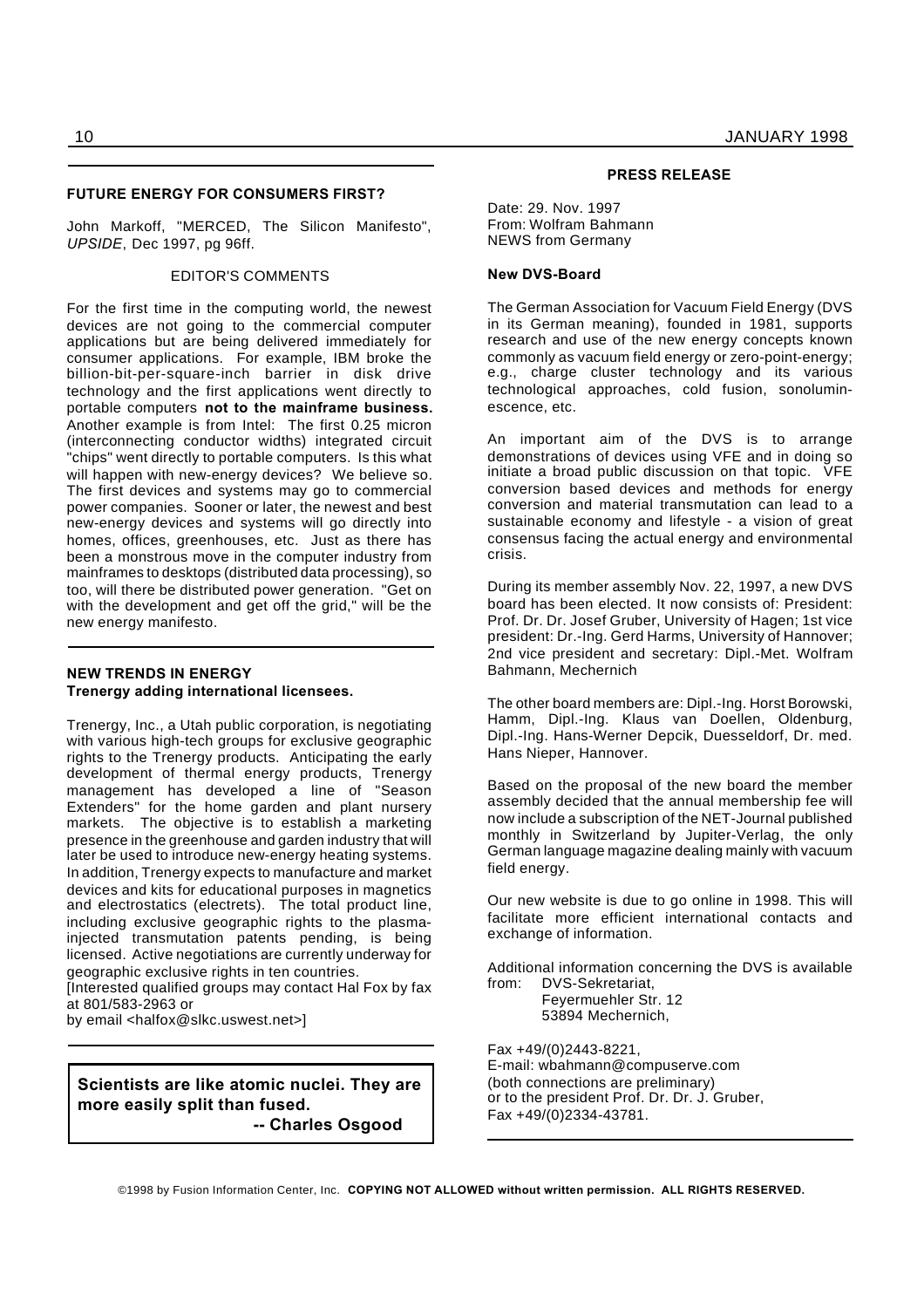#### **FUTURE ENERGY FOR CONSUMERS FIRST?**

John Markoff, "MERCED, The Silicon Manifesto", *UPSIDE*, Dec 1997, pg 96ff.

#### EDITOR'S COMMENTS

For the first time in the computing world, the newest devices are not going to the commercial computer applications but are being delivered immediately for consumer applications. For example, IBM broke the billion-bit-per-square-inch barrier in disk drive technology and the first applications went directly to portable computers **not to the mainframe business.** Another example is from Intel: The first 0.25 micron (interconnecting conductor widths) integrated circuit "chips" went directly to portable computers. Is this what will happen with new-energy devices? We believe so. The first devices and systems may go to commercial power companies. Sooner or later, the newest and best new-energy devices and systems will go directly into homes, offices, greenhouses, etc. Just as there has been a monstrous move in the computer industry from mainframes to desktops (distributed data processing), so too, will there be distributed power generation. "Get on with the development and get off the grid," will be the new energy manifesto.

# **NEW TRENDS IN ENERGY Trenergy adding international licensees.**

Trenergy, Inc., a Utah public corporation, is negotiating with various high-tech groups for exclusive geographic rights to the Trenergy products. Anticipating the early development of thermal energy products, Trenergy management has developed a line of "Season Extenders" for the home garden and plant nursery markets. The objective is to establish a marketing presence in the greenhouse and garden industry that will later be used to introduce new-energy heating systems. In addition, Trenergy expects to manufacture and market devices and kits for educational purposes in magnetics and electrostatics (electrets). The total product line, including exclusive geographic rights to the plasmainjected transmutation patents pending, is being licensed. Active negotiations are currently underway for geographic exclusive rights in ten countries.

[Interested qualified groups may contact Hal Fox by fax at 801/583-2963 or

by email <halfox@slkc.uswest.net>]

**Scientists are like atomic nuclei. They are more easily split than fused.**

**-- Charles Osgood**

#### **PRESS RELEASE**

Date: 29. Nov. 1997 From: Wolfram Bahmann NEWS from Germany

#### **New DVS-Board**

The German Association for Vacuum Field Energy (DVS in its German meaning), founded in 1981, supports research and use of the new energy concepts known commonly as vacuum field energy or zero-point-energy; e.g., charge cluster technology and its various technological approaches, cold fusion, sonoluminescence, etc.

An important aim of the DVS is to arrange demonstrations of devices using VFE and in doing so initiate a broad public discussion on that topic. VFE conversion based devices and methods for energy conversion and material transmutation can lead to a sustainable economy and lifestyle - a vision of great consensus facing the actual energy and environmental crisis.

During its member assembly Nov. 22, 1997, a new DVS board has been elected. It now consists of: President: Prof. Dr. Dr. Josef Gruber, University of Hagen; 1st vice president: Dr.-Ing. Gerd Harms, University of Hannover; 2nd vice president and secretary: Dipl.-Met. Wolfram Bahmann, Mechernich

The other board members are: Dipl.-Ing. Horst Borowski, Hamm, Dipl.-Ing. Klaus van Doellen, Oldenburg, Dipl.-Ing. Hans-Werner Depcik, Duesseldorf, Dr. med. Hans Nieper, Hannover.

Based on the proposal of the new board the member assembly decided that the annual membership fee will now include a subscription of the NET-Journal published monthly in Switzerland by Jupiter-Verlag, the only German language magazine dealing mainly with vacuum field energy.

Our new website is due to go online in 1998. This will facilitate more efficient international contacts and exchange of information.

Additional information concerning the DVS is available from: DVS-Sekretariat, Feyermuehler Str. 12

53894 Mechernich,

Fax +49/(0)2443-8221, E-mail: wbahmann@compuserve.com (both connections are preliminary) or to the president Prof. Dr. Dr. J. Gruber, Fax +49/(0)2334-43781.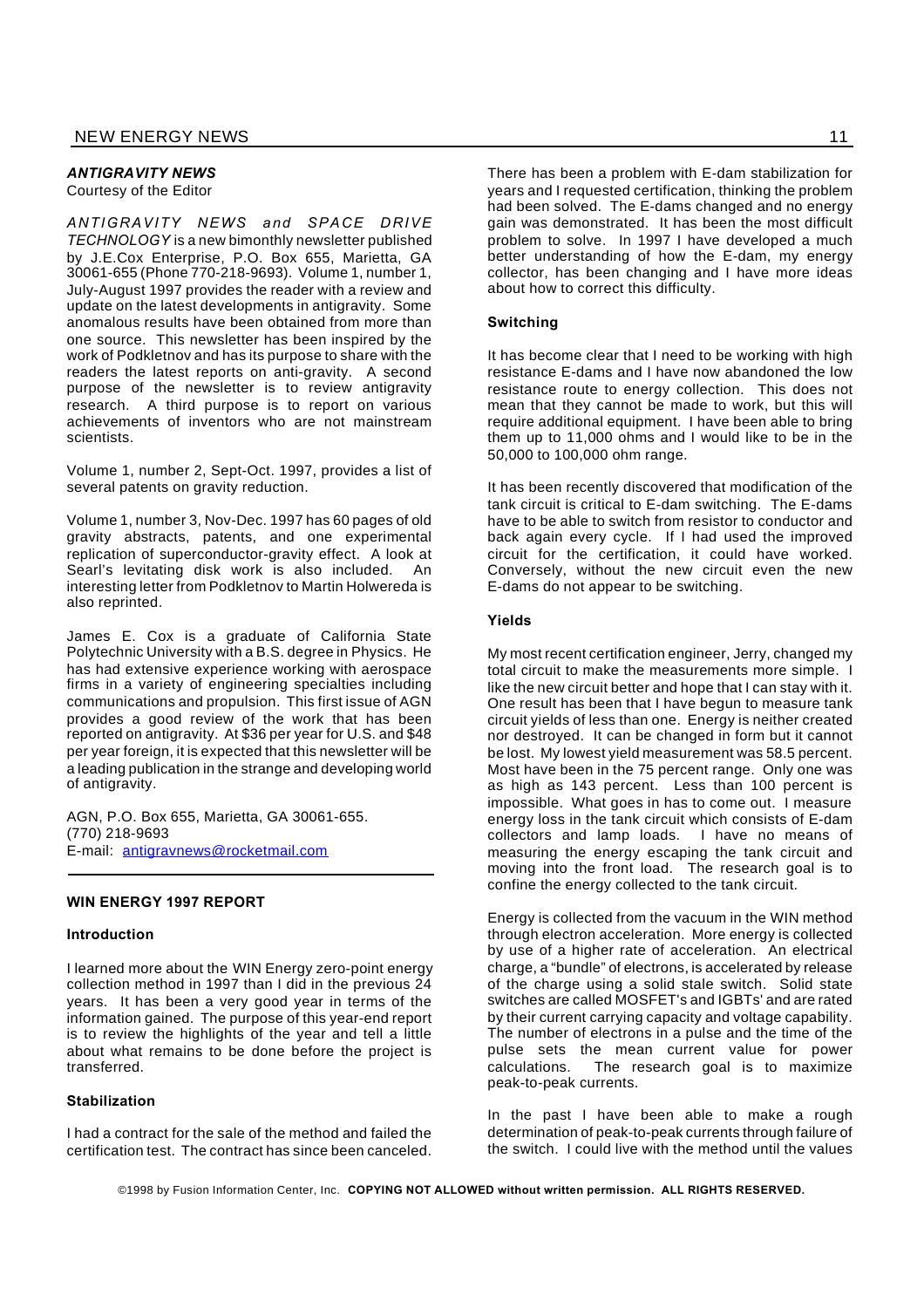# *ANTIGRAVITY NEWS*

Courtesy of the Editor

*ANTIGRAVITY NEWS and SPACE DRIVE TECHNOLOGY* is a new bimonthly newsletter published by J.E.Cox Enterprise, P.O. Box 655, Marietta, GA 30061-655 (Phone 770-218-9693). Volume 1, number 1, July-August 1997 provides the reader with a review and update on the latest developments in antigravity. Some anomalous results have been obtained from more than one source. This newsletter has been inspired by the work of Podkletnov and has its purpose to share with the readers the latest reports on anti-gravity. A second purpose of the newsletter is to review antigravity research. A third purpose is to report on various achievements of inventors who are not mainstream scientists.

Volume 1, number 2, Sept-Oct. 1997, provides a list of several patents on gravity reduction.

Volume 1, number 3, Nov-Dec. 1997 has 60 pages of old gravity abstracts, patents, and one experimental replication of superconductor-gravity effect. A look at Searl's levitating disk work is also included. An interesting letter from Podkletnov to Martin Holwereda is also reprinted.

James E. Cox is a graduate of California State Polytechnic University with a B.S. degree in Physics. He has had extensive experience working with aerospace firms in a variety of engineering specialties including communications and propulsion. This first issue of AGN provides a good review of the work that has been reported on antigravity. At \$36 per year for U.S. and \$48 per year foreign, it is expected that this newsletter will be a leading publication in the strange and developing world of antigravity.

AGN, P.O. Box 655, Marietta, GA 30061-655. (770) 218-9693 E-mail: antigravnews@rocketmail.com

## **WIN ENERGY 1997 REPORT**

#### **Introduction**

I learned more about the WIN Energy zero-point energy collection method in 1997 than I did in the previous 24 years. It has been a very good year in terms of the information gained. The purpose of this year-end report is to review the highlights of the year and tell a little about what remains to be done before the project is transferred.

# **Stabilization**

I had a contract for the sale of the method and failed the certification test. The contract has since been canceled.

There has been a problem with E-dam stabilization for years and I requested certification, thinking the problem had been solved. The E-dams changed and no energy gain was demonstrated. It has been the most difficult problem to solve. In 1997 I have developed a much better understanding of how the E-dam, my energy collector, has been changing and I have more ideas about how to correct this difficulty.

#### **Switching**

It has become clear that I need to be working with high resistance E-dams and I have now abandoned the low resistance route to energy collection. This does not mean that they cannot be made to work, but this will require additional equipment. I have been able to bring them up to 11,000 ohms and I would like to be in the 50,000 to 100,000 ohm range.

It has been recently discovered that modification of the tank circuit is critical to E-dam switching. The E-dams have to be able to switch from resistor to conductor and back again every cycle. If I had used the improved circuit for the certification, it could have worked. Conversely, without the new circuit even the new E-dams do not appear to be switching.

#### **Yields**

My most recent certification engineer, Jerry, changed my total circuit to make the measurements more simple. I like the new circuit better and hope that I can stay with it. One result has been that I have begun to measure tank circuit yields of less than one. Energy is neither created nor destroyed. It can be changed in form but it cannot be lost. My lowest yield measurement was 58.5 percent. Most have been in the 75 percent range. Only one was as high as 143 percent. Less than 100 percent is impossible. What goes in has to come out. I measure energy loss in the tank circuit which consists of E-dam collectors and lamp loads. I have no means of measuring the energy escaping the tank circuit and moving into the front load. The research goal is to confine the energy collected to the tank circuit.

Energy is collected from the vacuum in the WIN method through electron acceleration. More energy is collected by use of a higher rate of acceleration. An electrical charge, a "bundle" of electrons, is accelerated by release of the charge using a solid stale switch. Solid state switches are called MOSFET's and IGBTs' and are rated by their current carrying capacity and voltage capability. The number of electrons in a pulse and the time of the pulse sets the mean current value for power calculations. The research goal is to maximize peak-to-peak currents.

In the past I have been able to make a rough determination of peak-to-peak currents through failure of the switch. I could live with the method until the values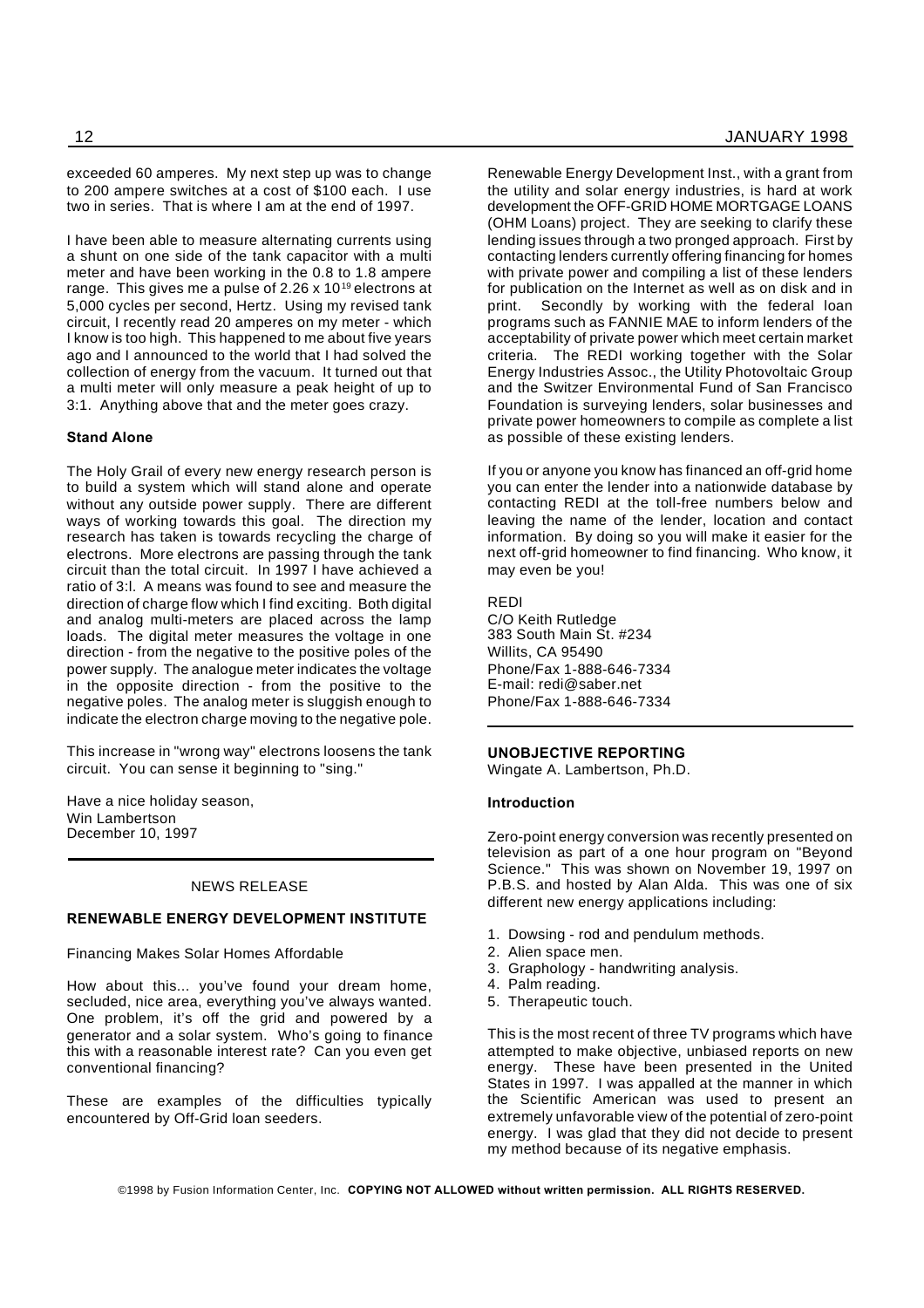exceeded 60 amperes. My next step up was to change to 200 ampere switches at a cost of \$100 each. I use two in series. That is where I am at the end of 1997.

I have been able to measure alternating currents using a shunt on one side of the tank capacitor with a multi meter and have been working in the 0.8 to 1.8 ampere range. This gives me a pulse of 2.26 x  $10^{19}$  electrons at 5,000 cycles per second, Hertz. Using my revised tank circuit, I recently read 20 amperes on my meter - which I know is too high. This happened to me about five years ago and I announced to the world that I had solved the collection of energy from the vacuum. It turned out that a multi meter will only measure a peak height of up to 3:1. Anything above that and the meter goes crazy.

# **Stand Alone**

The Holy Grail of every new energy research person is to build a system which will stand alone and operate without any outside power supply. There are different ways of working towards this goal. The direction my research has taken is towards recycling the charge of electrons. More electrons are passing through the tank circuit than the total circuit. In 1997 I have achieved a ratio of 3:l. A means was found to see and measure the direction of charge flow which I find exciting. Both digital and analog multi-meters are placed across the lamp loads. The digital meter measures the voltage in one direction - from the negative to the positive poles of the power supply. The analogue meter indicates the voltage in the opposite direction - from the positive to the negative poles. The analog meter is sluggish enough to indicate the electron charge moving to the negative pole.

This increase in "wrong way" electrons loosens the tank circuit. You can sense it beginning to "sing."

Have a nice holiday season, Win Lambertson December 10, 1997

#### NEWS RELEASE

#### **RENEWABLE ENERGY DEVELOPMENT INSTITUTE**

Financing Makes Solar Homes Affordable

How about this... you've found your dream home, secluded, nice area, everything you've always wanted. One problem, it's off the grid and powered by a generator and a solar system. Who's going to finance this with a reasonable interest rate? Can you even get conventional financing?

These are examples of the difficulties typically encountered by Off-Grid loan seeders.

Renewable Energy Development Inst., with a grant from the utility and solar energy industries, is hard at work development the OFF-GRID HOME MORTGAGE LOANS (OHM Loans) project. They are seeking to clarify these lending issues through a two pronged approach. First by contacting lenders currently offering financing for homes with private power and compiling a list of these lenders for publication on the Internet as well as on disk and in print. Secondly by working with the federal loan programs such as FANNIE MAE to inform lenders of the acceptability of private power which meet certain market criteria. The REDI working together with the Solar Energy Industries Assoc., the Utility Photovoltaic Group and the Switzer Environmental Fund of San Francisco Foundation is surveying lenders, solar businesses and private power homeowners to compile as complete a list as possible of these existing lenders.

If you or anyone you know has financed an off-grid home you can enter the lender into a nationwide database by contacting REDI at the toll-free numbers below and leaving the name of the lender, location and contact information. By doing so you will make it easier for the next off-grid homeowner to find financing. Who know, it may even be you!

#### REDI

C/O Keith Rutledge 383 South Main St. #234 Willits, CA 95490 Phone/Fax 1-888-646-7334 E-mail: redi@saber.net Phone/Fax 1-888-646-7334

#### **UNOBJECTIVE REPORTING**

Wingate A. Lambertson, Ph.D.

#### **Introduction**

Zero-point energy conversion was recently presented on television as part of a one hour program on "Beyond Science." This was shown on November 19, 1997 on P.B.S. and hosted by Alan Alda. This was one of six different new energy applications including:

- 1. Dowsing rod and pendulum methods.
- 2. Alien space men.
- 3. Graphology handwriting analysis.
- 4. Palm reading.
- 5. Therapeutic touch.

This is the most recent of three TV programs which have attempted to make objective, unbiased reports on new energy. These have been presented in the United States in 1997. I was appalled at the manner in which the Scientific American was used to present an extremely unfavorable view of the potential of zero-point energy. I was glad that they did not decide to present my method because of its negative emphasis.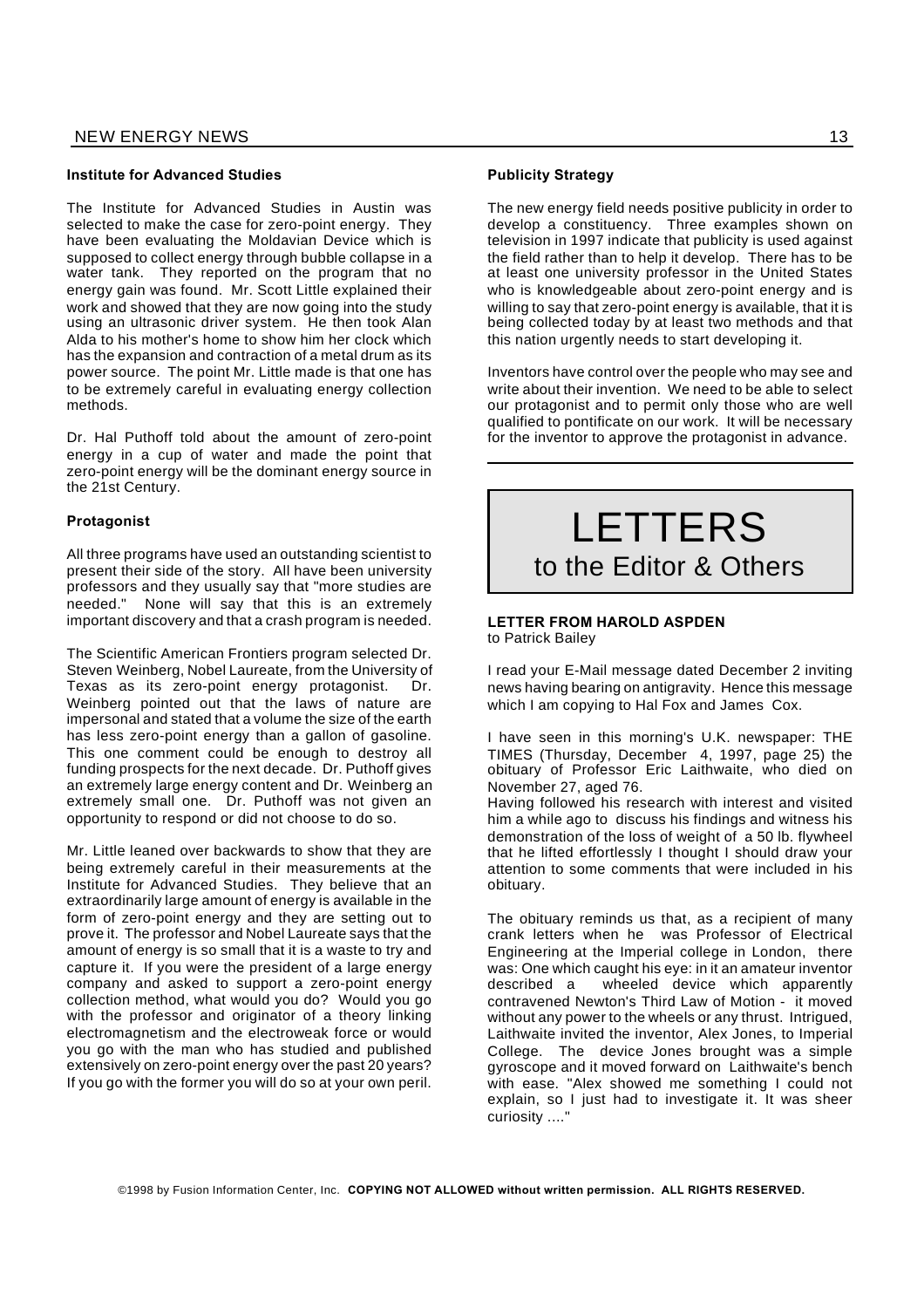#### **Institute for Advanced Studies**

The Institute for Advanced Studies in Austin was selected to make the case for zero-point energy. They have been evaluating the Moldavian Device which is supposed to collect energy through bubble collapse in a water tank. They reported on the program that no energy gain was found. Mr. Scott Little explained their work and showed that they are now going into the study using an ultrasonic driver system. He then took Alan Alda to his mother's home to show him her clock which has the expansion and contraction of a metal drum as its power source. The point Mr. Little made is that one has to be extremely careful in evaluating energy collection methods.

Dr. Hal Puthoff told about the amount of zero-point energy in a cup of water and made the point that zero-point energy will be the dominant energy source in the 21st Century.

## **Protagonist**

All three programs have used an outstanding scientist to present their side of the story. All have been university professors and they usually say that "more studies are needed." None will say that this is an extremely important discovery and that a crash program is needed.

The Scientific American Frontiers program selected Dr. Steven Weinberg, Nobel Laureate, from the University of Texas as its zero-point energy protagonist. Dr. Weinberg pointed out that the laws of nature are impersonal and stated that a volume the size of the earth has less zero-point energy than a gallon of gasoline. This one comment could be enough to destroy all funding prospects for the next decade. Dr. Puthoff gives an extremely large energy content and Dr. Weinberg an extremely small one. Dr. Puthoff was not given an opportunity to respond or did not choose to do so.

Mr. Little leaned over backwards to show that they are being extremely careful in their measurements at the Institute for Advanced Studies. They believe that an extraordinarily large amount of energy is available in the form of zero-point energy and they are setting out to prove it. The professor and Nobel Laureate says that the amount of energy is so small that it is a waste to try and capture it. If you were the president of a large energy company and asked to support a zero-point energy collection method, what would you do? Would you go with the professor and originator of a theory linking electromagnetism and the electroweak force or would you go with the man who has studied and published extensively on zero-point energy over the past 20 years? If you go with the former you will do so at your own peril.

#### **Publicity Strategy**

The new energy field needs positive publicity in order to develop a constituency. Three examples shown on television in 1997 indicate that publicity is used against the field rather than to help it develop. There has to be at least one university professor in the United States who is knowledgeable about zero-point energy and is willing to say that zero-point energy is available, that it is being collected today by at least two methods and that this nation urgently needs to start developing it.

Inventors have control over the people who may see and write about their invention. We need to be able to select our protagonist and to permit only those who are well qualified to pontificate on our work. It will be necessary for the inventor to approve the protagonist in advance.

# LETTERS to the Editor & Others

#### **LETTER FROM HAROLD ASPDEN** to Patrick Bailey

I read your E-Mail message dated December 2 inviting news having bearing on antigravity. Hence this message which I am copying to Hal Fox and James Cox.

I have seen in this morning's U.K. newspaper: THE TIMES (Thursday, December 4, 1997, page 25) the obituary of Professor Eric Laithwaite, who died on November 27, aged 76.

Having followed his research with interest and visited him a while ago to discuss his findings and witness his demonstration of the loss of weight of a 50 lb. flywheel that he lifted effortlessly I thought I should draw your attention to some comments that were included in his obituary.

The obituary reminds us that, as a recipient of many crank letters when he was Professor of Electrical Engineering at the Imperial college in London, there was: One which caught his eye: in it an amateur inventor described a wheeled device which apparently contravened Newton's Third Law of Motion - it moved without any power to the wheels or any thrust. Intrigued, Laithwaite invited the inventor, Alex Jones, to Imperial College. The device Jones brought was a simple gyroscope and it moved forward on Laithwaite's bench with ease. "Alex showed me something I could not explain, so I just had to investigate it. It was sheer curiosity ...."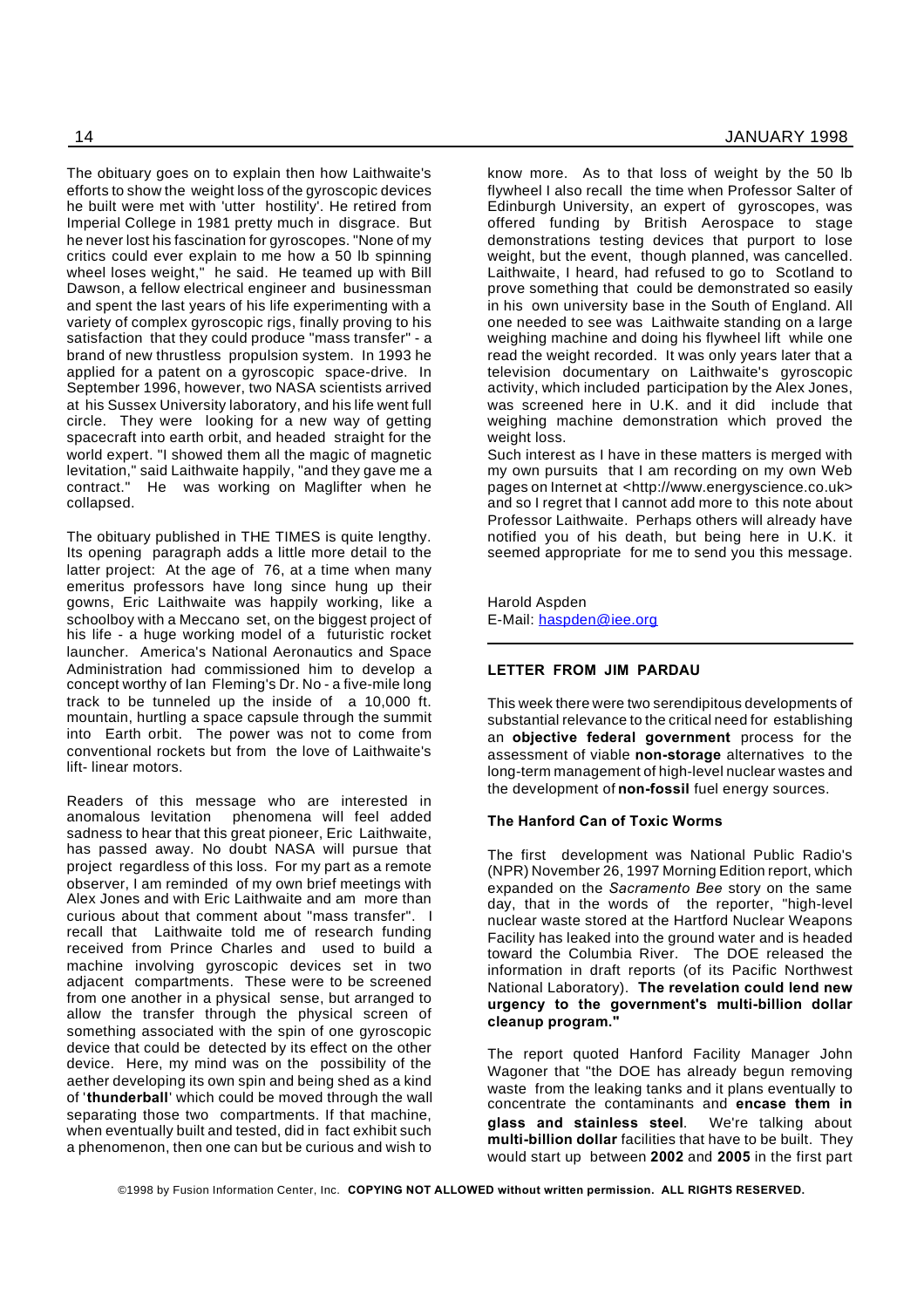The obituary goes on to explain then how Laithwaite's efforts to show the weight loss of the gyroscopic devices he built were met with 'utter hostility'. He retired from Imperial College in 1981 pretty much in disgrace. But he never lost his fascination for gyroscopes. "None of my critics could ever explain to me how a 50 lb spinning wheel loses weight," he said. He teamed up with Bill Dawson, a fellow electrical engineer and businessman and spent the last years of his life experimenting with a variety of complex gyroscopic rigs, finally proving to his satisfaction that they could produce "mass transfer" - a brand of new thrustless propulsion system. In 1993 he applied for a patent on a gyroscopic space-drive. In September 1996, however, two NASA scientists arrived at his Sussex University laboratory, and his life went full circle. They were looking for a new way of getting spacecraft into earth orbit, and headed straight for the world expert. "I showed them all the magic of magnetic levitation," said Laithwaite happily, "and they gave me a contract." He was working on Maglifter when he collapsed.

The obituary published in THE TIMES is quite lengthy. Its opening paragraph adds a little more detail to the latter project: At the age of 76, at a time when many emeritus professors have long since hung up their gowns, Eric Laithwaite was happily working, like a schoolboy with a Meccano set, on the biggest project of his life - a huge working model of a futuristic rocket launcher. America's National Aeronautics and Space Administration had commissioned him to develop a concept worthy of Ian Fleming's Dr. No - a five-mile long track to be tunneled up the inside of a 10,000 ft. mountain, hurtling a space capsule through the summit into Earth orbit. The power was not to come from conventional rockets but from the love of Laithwaite's lift- linear motors.

Readers of this message who are interested in anomalous levitation phenomena will feel added sadness to hear that this great pioneer, Eric Laithwaite, has passed away. No doubt NASA will pursue that project regardless of this loss. For my part as a remote observer, I am reminded of my own brief meetings with Alex Jones and with Eric Laithwaite and am more than curious about that comment about "mass transfer". I recall that Laithwaite told me of research funding received from Prince Charles and used to build a machine involving gyroscopic devices set in two adjacent compartments. These were to be screened from one another in a physical sense, but arranged to allow the transfer through the physical screen of something associated with the spin of one gyroscopic device that could be detected by its effect on the other device. Here, my mind was on the possibility of the aether developing its own spin and being shed as a kind of '**thunderball**' which could be moved through the wall separating those two compartments. If that machine, when eventually built and tested, did in fact exhibit such a phenomenon, then one can but be curious and wish to

know more. As to that loss of weight by the 50 lb flywheel I also recall the time when Professor Salter of Edinburgh University, an expert of gyroscopes, was offered funding by British Aerospace to stage demonstrations testing devices that purport to lose weight, but the event, though planned, was cancelled. Laithwaite, I heard, had refused to go to Scotland to prove something that could be demonstrated so easily in his own university base in the South of England. All one needed to see was Laithwaite standing on a large weighing machine and doing his flywheel lift while one read the weight recorded. It was only years later that a television documentary on Laithwaite's gyroscopic activity, which included participation by the Alex Jones, was screened here in U.K. and it did include that weighing machine demonstration which proved the weight loss.

Such interest as I have in these matters is merged with my own pursuits that I am recording on my own Web pages on Internet at <http://www.energyscience.co.uk> and so I regret that I cannot add more to this note about Professor Laithwaite. Perhaps others will already have notified you of his death, but being here in U.K. it seemed appropriate for me to send you this message.

Harold Aspden E-Mail: haspden@iee.org

# **LETTER FROM JIM PARDAU**

This week there were two serendipitous developments of substantial relevance to the critical need for establishing an **objective federal government** process for the assessment of viable **non-storage** alternatives to the long-term management of high-level nuclear wastes and the development of **non-fossil** fuel energy sources.

## **The Hanford Can of Toxic Worms**

The first development was National Public Radio's (NPR) November 26, 1997 Morning Edition report, which expanded on the *Sacramento Bee* story on the same day, that in the words of the reporter, "high-level nuclear waste stored at the Hartford Nuclear Weapons Facility has leaked into the ground water and is headed toward the Columbia River. The DOE released the information in draft reports (of its Pacific Northwest National Laboratory). **The revelation could lend new urgency to the government's multi-billion dollar cleanup program."**

The report quoted Hanford Facility Manager John Wagoner that "the DOE has already begun removing waste from the leaking tanks and it plans eventually to concentrate the contaminants and **encase them in glass and stainless steel**. We're talking about **multi-billion dollar** facilities that have to be built. They would start up between **2002** and **2005** in the first part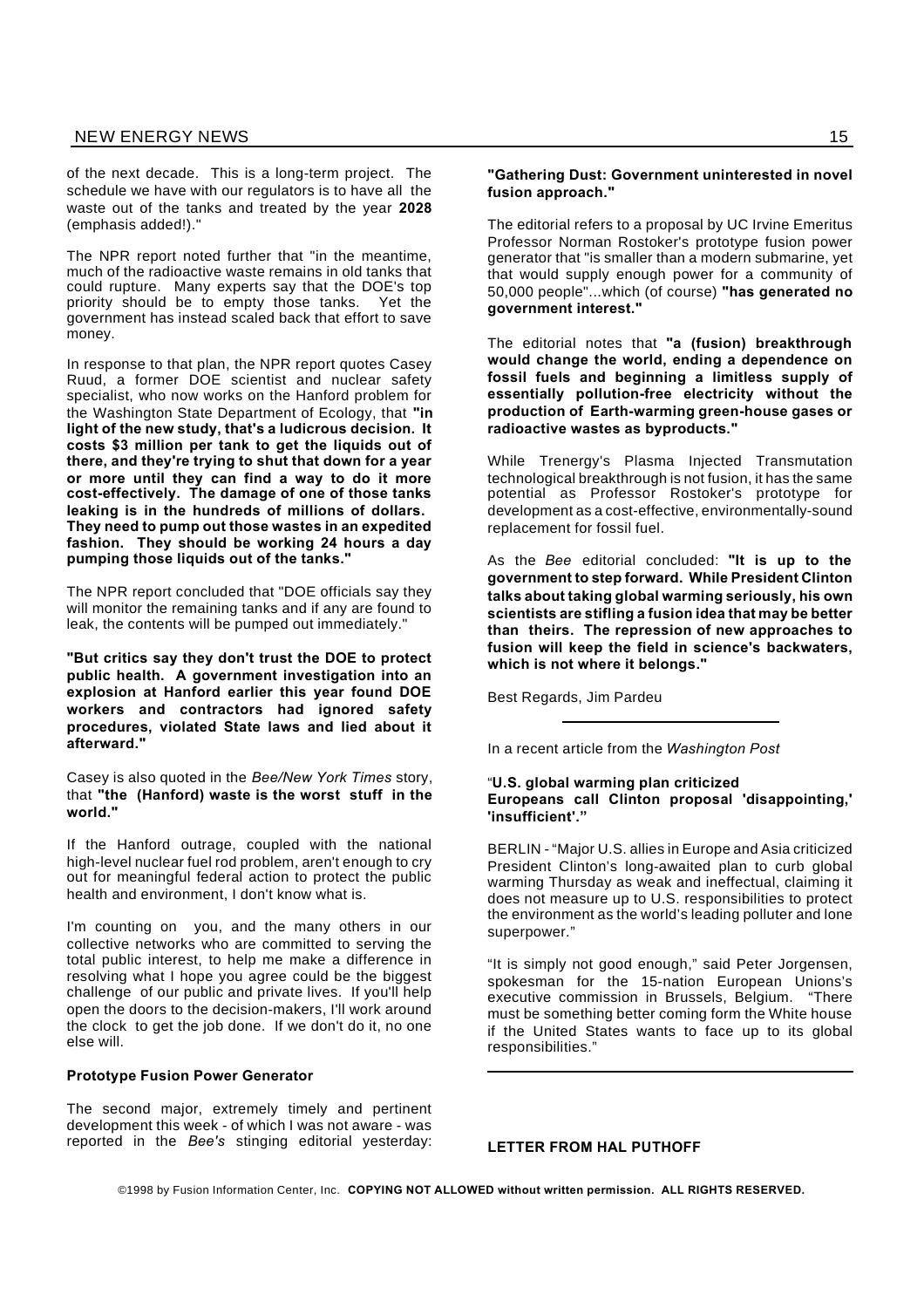of the next decade. This is a long-term project. The schedule we have with our regulators is to have all the waste out of the tanks and treated by the year **2028** (emphasis added!)."

The NPR report noted further that "in the meantime, much of the radioactive waste remains in old tanks that could rupture. Many experts say that the DOE's top priority should be to empty those tanks. Yet the government has instead scaled back that effort to save money.

In response to that plan, the NPR report quotes Casey Ruud, a former DOE scientist and nuclear safety specialist, who now works on the Hanford problem for the Washington State Department of Ecology, that **"in light of the new study, that's a ludicrous decision. It costs \$3 million per tank to get the liquids out of there, and they're trying to shut that down for a year or more until they can find a way to do it more cost-effectively. The damage of one of those tanks leaking is in the hundreds of millions of dollars. They need to pump out those wastes in an expedited fashion. They should be working 24 hours a day pumping those liquids out of the tanks."**

The NPR report concluded that "DOE officials say they will monitor the remaining tanks and if any are found to leak, the contents will be pumped out immediately."

**"But critics say they don't trust the DOE to protect public health. A government investigation into an explosion at Hanford earlier this year found DOE workers and contractors had ignored safety procedures, violated State laws and lied about it afterward."**

Casey is also quoted in the *Bee/New York Times* story, that **"the (Hanford) waste is the worst stuff in the world."**

If the Hanford outrage, coupled with the national high-level nuclear fuel rod problem, aren't enough to cry out for meaningful federal action to protect the public health and environment, I don't know what is.

I'm counting on you, and the many others in our collective networks who are committed to serving the total public interest, to help me make a difference in resolving what I hope you agree could be the biggest challenge of our public and private lives. If you'll help open the doors to the decision-makers, I'll work around the clock to get the job done. If we don't do it, no one else will.

#### **Prototype Fusion Power Generator**

The second major, extremely timely and pertinent development this week - of which I was not aware - was reported in the *Bee's* stinging editorial yesterday:

#### **"Gathering Dust: Government uninterested in novel fusion approach."**

The editorial refers to a proposal by UC Irvine Emeritus Professor Norman Rostoker's prototype fusion power generator that "is smaller than a modern submarine, yet that would supply enough power for a community of 50,000 people"...which (of course) **"has generated no government interest."**

The editorial notes that **"a (fusion) breakthrough would change the world, ending a dependence on fossil fuels and beginning a limitless supply of essentially pollution-free electricity without the production of Earth-warming green-house gases or radioactive wastes as byproducts."**

While Trenergy's Plasma Injected Transmutation technological breakthrough is not fusion, it has the same potential as Professor Rostoker's prototype for development as a cost-effective, environmentally-sound replacement for fossil fuel.

As the *Bee* editorial concluded: **"It is up to the government to step forward. While President Clinton talks about taking global warming seriously, his own scientists are stifling a fusion idea that may be better than theirs. The repression of new approaches to fusion will keep the field in science's backwaters, which is not where it belongs."**

Best Regards, Jim Pardeu

In a recent article from the *Washington Post*

# "**U.S. global warming plan criticized Europeans call Clinton proposal 'disappointing,' 'insufficient'."**

BERLIN - "Major U.S. allies in Europe and Asia criticized President Clinton's long-awaited plan to curb global warming Thursday as weak and ineffectual, claiming it does not measure up to U.S. responsibilities to protect the environment as the world's leading polluter and lone superpower."

"It is simply not good enough," said Peter Jorgensen, spokesman for the 15-nation European Unions's executive commission in Brussels, Belgium. "There must be something better coming form the White house if the United States wants to face up to its global responsibilities."

**LETTER FROM HAL PUTHOFF**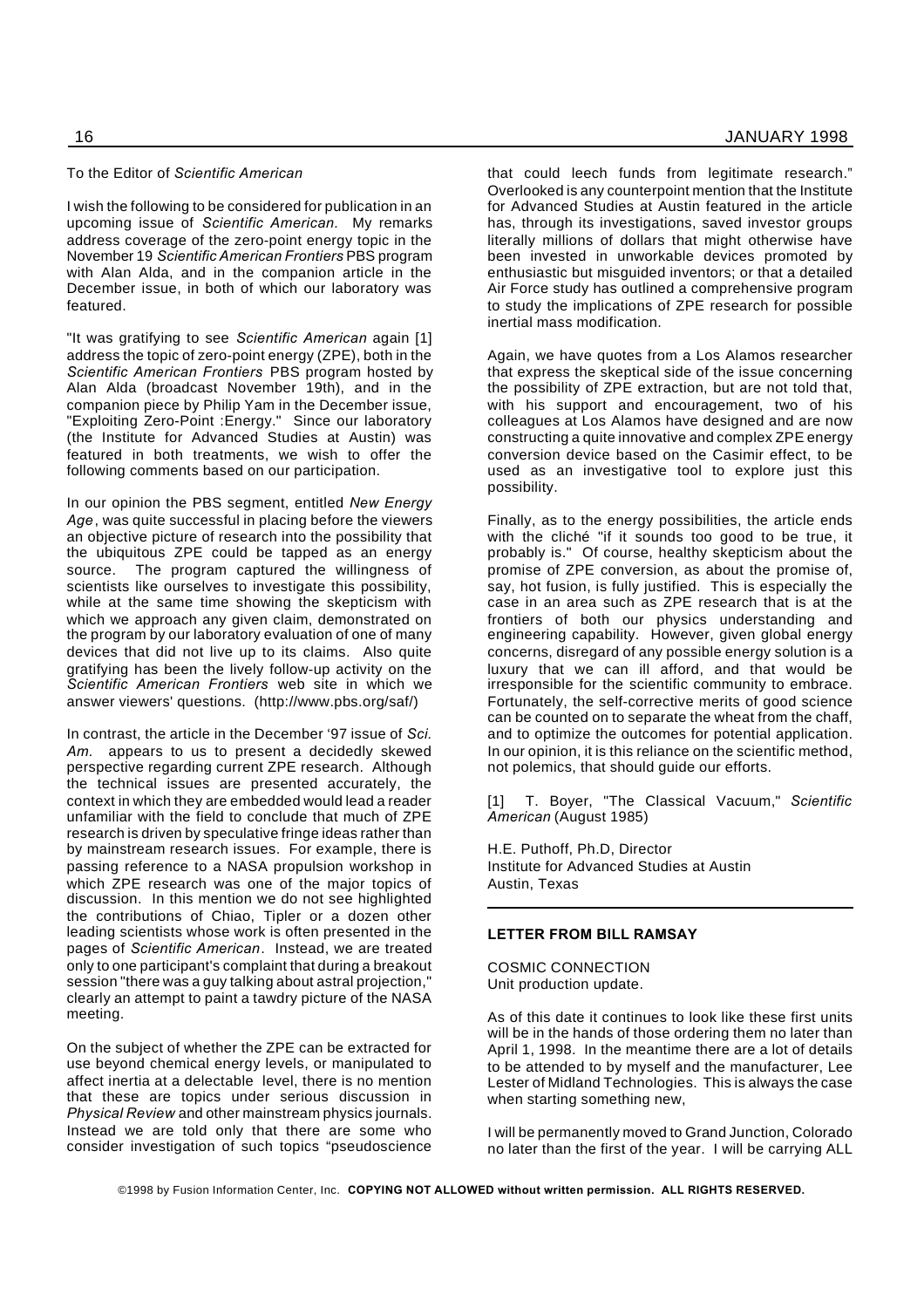#### To the Editor of *Scientific American*

I wish the following to be considered for publication in an upcoming issue of *Scientific American.* My remarks address coverage of the zero-point energy topic in the November 19 *Scientific American Frontiers* PBS program with Alan Alda, and in the companion article in the December issue, in both of which our laboratory was featured.

"It was gratifying to see *Scientific American* again [1] address the topic of zero-point energy (ZPE), both in the *Scientific American Frontiers* PBS program hosted by Alan Alda (broadcast November 19th), and in the companion piece by Philip Yam in the December issue, "Exploiting Zero-Point :Energy." Since our laboratory (the Institute for Advanced Studies at Austin) was featured in both treatments, we wish to offer the following comments based on our participation.

In our opinion the PBS segment, entitled *New Energy Age*, was quite successful in placing before the viewers an objective picture of research into the possibility that the ubiquitous ZPE could be tapped as an energy source. The program captured the willingness of scientists like ourselves to investigate this possibility, while at the same time showing the skepticism with which we approach any given claim, demonstrated on the program by our laboratory evaluation of one of many devices that did not live up to its claims. Also quite gratifying has been the lively follow-up activity on the *Scientific American Frontiers* web site in which we answer viewers' questions. (http://www.pbs.org/saf/)

In contrast, the article in the December '97 issue of *Sci. Am.* appears to us to present a decidedly skewed perspective regarding current ZPE research. Although the technical issues are presented accurately, the context in which they are embedded would lead a reader unfamiliar with the field to conclude that much of ZPE research is driven by speculative fringe ideas rather than by mainstream research issues. For example, there is passing reference to a NASA propulsion workshop in which ZPE research was one of the major topics of discussion. In this mention we do not see highlighted the contributions of Chiao, Tipler or a dozen other leading scientists whose work is often presented in the pages of *Scientific American*. Instead, we are treated only to one participant's complaint that during a breakout session "there was a guy talking about astral projection," clearly an attempt to paint a tawdry picture of the NASA meeting.

On the subject of whether the ZPE can be extracted for use beyond chemical energy levels, or manipulated to affect inertia at a delectable level, there is no mention that these are topics under serious discussion in *Physical Review* and other mainstream physics journals. Instead we are told only that there are some who consider investigation of such topics "pseudoscience

that could leech funds from legitimate research." Overlooked is any counterpoint mention that the Institute for Advanced Studies at Austin featured in the article has, through its investigations, saved investor groups literally millions of dollars that might otherwise have been invested in unworkable devices promoted by enthusiastic but misguided inventors; or that a detailed Air Force study has outlined a comprehensive program to study the implications of ZPE research for possible inertial mass modification.

Again, we have quotes from a Los Alamos researcher that express the skeptical side of the issue concerning the possibility of ZPE extraction, but are not told that, with his support and encouragement, two of his colleagues at Los Alamos have designed and are now constructing a quite innovative and complex ZPE energy conversion device based on the Casimir effect, to be used as an investigative tool to explore just this possibility.

Finally, as to the energy possibilities, the article ends with the cliché "if it sounds too good to be true, it probably is." Of course, healthy skepticism about the promise of ZPE conversion, as about the promise of, say, hot fusion, is fully justified. This is especially the case in an area such as ZPE research that is at the frontiers of both our physics understanding and engineering capability. However, given global energy concerns, disregard of any possible energy solution is a luxury that we can ill afford, and that would be irresponsible for the scientific community to embrace. Fortunately, the self-corrective merits of good science can be counted on to separate the wheat from the chaff, and to optimize the outcomes for potential application. In our opinion, it is this reliance on the scientific method, not polemics, that should guide our efforts.

[1] T. Boyer, "The Classical Vacuum," *Scientific American* (August 1985)

H.E. Puthoff, Ph.D, Director Institute for Advanced Studies at Austin Austin, Texas

# **LETTER FROM BILL RAMSAY**

COSMIC CONNECTION Unit production update.

As of this date it continues to look like these first units will be in the hands of those ordering them no later than April 1, 1998. In the meantime there are a lot of details to be attended to by myself and the manufacturer, Lee Lester of Midland Technologies. This is always the case when starting something new,

I will be permanently moved to Grand Junction, Colorado no later than the first of the year. I will be carrying ALL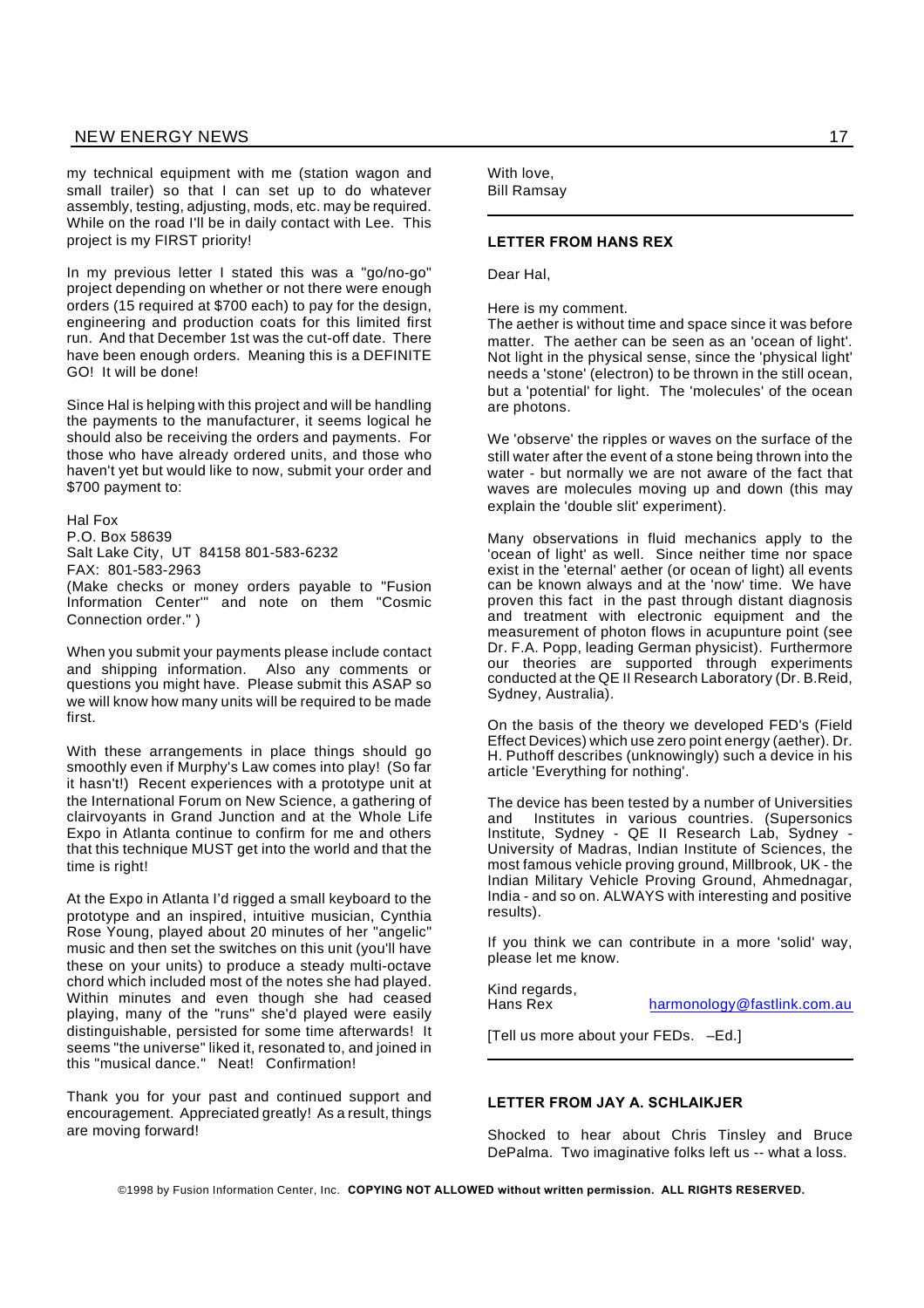my technical equipment with me (station wagon and small trailer) so that I can set up to do whatever assembly, testing, adjusting, mods, etc. may be required. While on the road I'll be in daily contact with Lee. This project is my FIRST priority!

In my previous letter I stated this was a "go/no-go" project depending on whether or not there were enough orders (15 required at \$700 each) to pay for the design, engineering and production coats for this limited first run. And that December 1st was the cut-off date. There have been enough orders. Meaning this is a DEFINITE GO! It will be done!

Since Hal is helping with this project and will be handling the payments to the manufacturer, it seems logical he should also be receiving the orders and payments. For those who have already ordered units, and those who haven't yet but would like to now, submit your order and \$700 payment to:

Hal Fox P.O. Box 58639 Salt Lake City, UT 84158 801-583-6232 FAX: 801-583-2963 (Make checks or money orders payable to "Fusion Information Center'" and note on them "Cosmic Connection order." )

When you submit your payments please include contact and shipping information. Also any comments or questions you might have. Please submit this ASAP so we will know how many units will be required to be made first.

With these arrangements in place things should go smoothly even if Murphy's Law comes into play! (So far it hasn't!) Recent experiences with a prototype unit at the International Forum on New Science, a gathering of clairvoyants in Grand Junction and at the Whole Life Expo in Atlanta continue to confirm for me and others that this technique MUST get into the world and that the time is right!

At the Expo in Atlanta I'd rigged a small keyboard to the prototype and an inspired, intuitive musician, Cynthia Rose Young, played about 20 minutes of her "angelic" music and then set the switches on this unit (you'll have these on your units) to produce a steady multi-octave chord which included most of the notes she had played. Within minutes and even though she had ceased playing, many of the "runs" she'd played were easily distinguishable, persisted for some time afterwards! It seems "the universe" liked it, resonated to, and joined in this "musical dance." Neat! Confirmation!

Thank you for your past and continued support and encouragement. Appreciated greatly! As a result, things are moving forward!

With love, Bill Ramsay

#### **LETTER FROM HANS REX**

Dear Hal,

Here is my comment.

The aether is without time and space since it was before matter. The aether can be seen as an 'ocean of light'. Not light in the physical sense, since the 'physical light' needs a 'stone' (electron) to be thrown in the still ocean, but a 'potential' for light. The 'molecules' of the ocean are photons.

We 'observe' the ripples or waves on the surface of the still water after the event of a stone being thrown into the water - but normally we are not aware of the fact that waves are molecules moving up and down (this may explain the 'double slit' experiment).

Many observations in fluid mechanics apply to the 'ocean of light' as well. Since neither time nor space exist in the 'eternal' aether (or ocean of light) all events can be known always and at the 'now' time. We have proven this fact in the past through distant diagnosis and treatment with electronic equipment and the measurement of photon flows in acupunture point (see Dr. F.A. Popp, leading German physicist). Furthermore our theories are supported through experiments conducted at the QE II Research Laboratory (Dr. B.Reid, Sydney, Australia).

On the basis of the theory we developed FED's (Field Effect Devices) which use zero point energy (aether). Dr. H. Puthoff describes (unknowingly) such a device in his article 'Everything for nothing'.

The device has been tested by a number of Universities and Institutes in various countries. (Supersonics Institute, Sydney - QE II Research Lab, Sydney - University of Madras, Indian Institute of Sciences, the most famous vehicle proving ground, Millbrook, UK - the Indian Military Vehicle Proving Ground, Ahmednagar, India - and so on. ALWAYS with interesting and positive results).

If you think we can contribute in a more 'solid' way, please let me know.

Kind regards,

Hans Rex harmonology@fastlink.com.au

[Tell us more about your FEDs. –Ed.]

#### **LETTER FROM JAY A. SCHLAIKJER**

Shocked to hear about Chris Tinsley and Bruce DePalma. Two imaginative folks left us -- what a loss.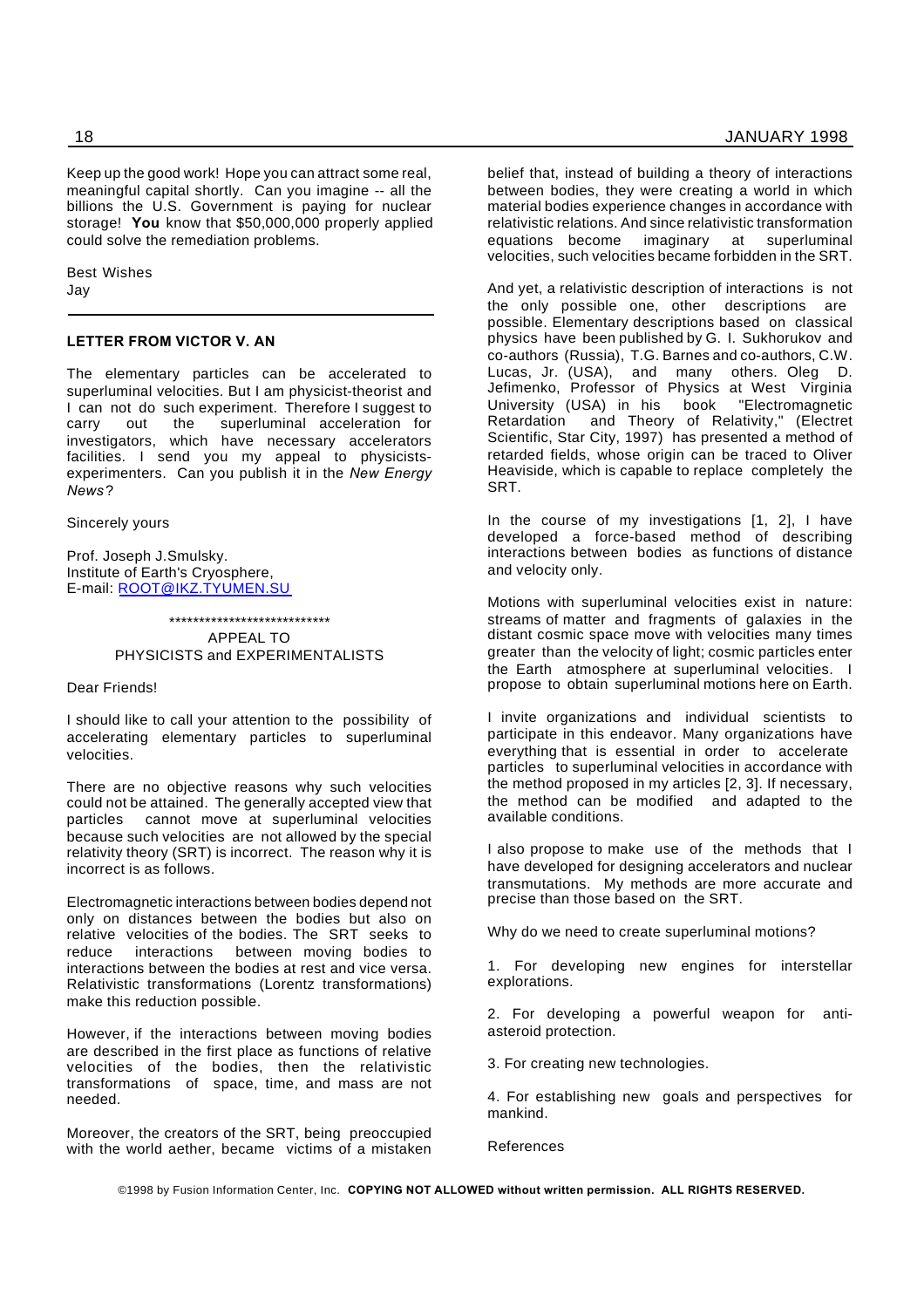Keep up the good work! Hope you can attract some real, meaningful capital shortly. Can you imagine -- all the billions the U.S. Government is paying for nuclear storage! **You** know that \$50,000,000 properly applied could solve the remediation problems.

Best Wishes Jay

#### **LETTER FROM VICTOR V. AN**

The elementary particles can be accelerated to superluminal velocities. But I am physicist-theorist and I can not do such experiment. Therefore I suggest to carry out the superluminal acceleration for carry out the superluminal acceleration for investigators, which have necessary accelerators facilities. I send you my appeal to physicistsexperimenters. Can you publish it in the *New Energy News* ?

Sincerely yours

Prof. Joseph J.Smulsky. Institute of Earth's Cryosphere, E-mail: ROOT@IKZ.TYUMEN.SU

> \*\*\*\*\*\*\*\*\*\*\*\*\*\*\*\*\*\*\*\*\*\*\*\*\*\*\* APPEAL TO PHYSICISTS and EXPERIMENTALISTS

#### Dear Friends!

I should like to call your attention to the possibility of accelerating elementary particles to superluminal velocities.

There are no objective reasons why such velocities could not be attained. The generally accepted view that particles cannot move at superluminal velocities because such velocities are not allowed by the special relativity theory (SRT) is incorrect. The reason why it is incorrect is as follows.

Electromagnetic interactions between bodies depend not only on distances between the bodies but also on relative velocities of the bodies. The SRT seeks to reduce interactions between moving bodies to interactions between the bodies at rest and vice versa. Relativistic transformations (Lorentz transformations) make this reduction possible.

However, if the interactions between moving bodies are described in the first place as functions of relative velocities of the bodies, then the relativistic transformations of space, time, and mass are not needed.

Moreover, the creators of the SRT, being preoccupied with the world aether, became victims of a mistaken belief that, instead of building a theory of interactions between bodies, they were creating a world in which material bodies experience changes in accordance with relativistic relations. And since relativistic transformation equations become imaginary at superluminal velocities, such velocities became forbidden in the SRT.

And yet, a relativistic description of interactions is not the only possible one, other descriptions are possible. Elementary descriptions based on classical physics have been published by G. I. Sukhorukov and co-authors (Russia), T.G. Barnes and co-authors, C.W. Lucas, Jr. (USA), and many others. Oleg D. Jefimenko, Professor of Physics at West Virginia University (USA) in his book "Electromagnetic and Theory of Relativity," (Electret Scientific, Star City, 1997) has presented a method of retarded fields, whose origin can be traced to Oliver Heaviside, which is capable to replace completely the SRT.

In the course of my investigations [1, 2], I have developed a force-based method of describing interactions between bodies as functions of distance and velocity only.

Motions with superluminal velocities exist in nature: streams of matter and fragments of galaxies in the distant cosmic space move with velocities many times greater than the velocity of light; cosmic particles enter the Earth atmosphere at superluminal velocities. I propose to obtain superluminal motions here on Earth.

I invite organizations and individual scientists to participate in this endeavor. Many organizations have everything that is essential in order to accelerate particles to superluminal velocities in accordance with the method proposed in my articles [2, 3]. If necessary, the method can be modified and adapted to the available conditions.

I also propose to make use of the methods that I have developed for designing accelerators and nuclear transmutations. My methods are more accurate and precise than those based on the SRT.

Why do we need to create superluminal motions?

1. For developing new engines for interstellar explorations.

2. For developing a powerful weapon for antiasteroid protection.

3. For creating new technologies.

4. For establishing new goals and perspectives for mankind.

References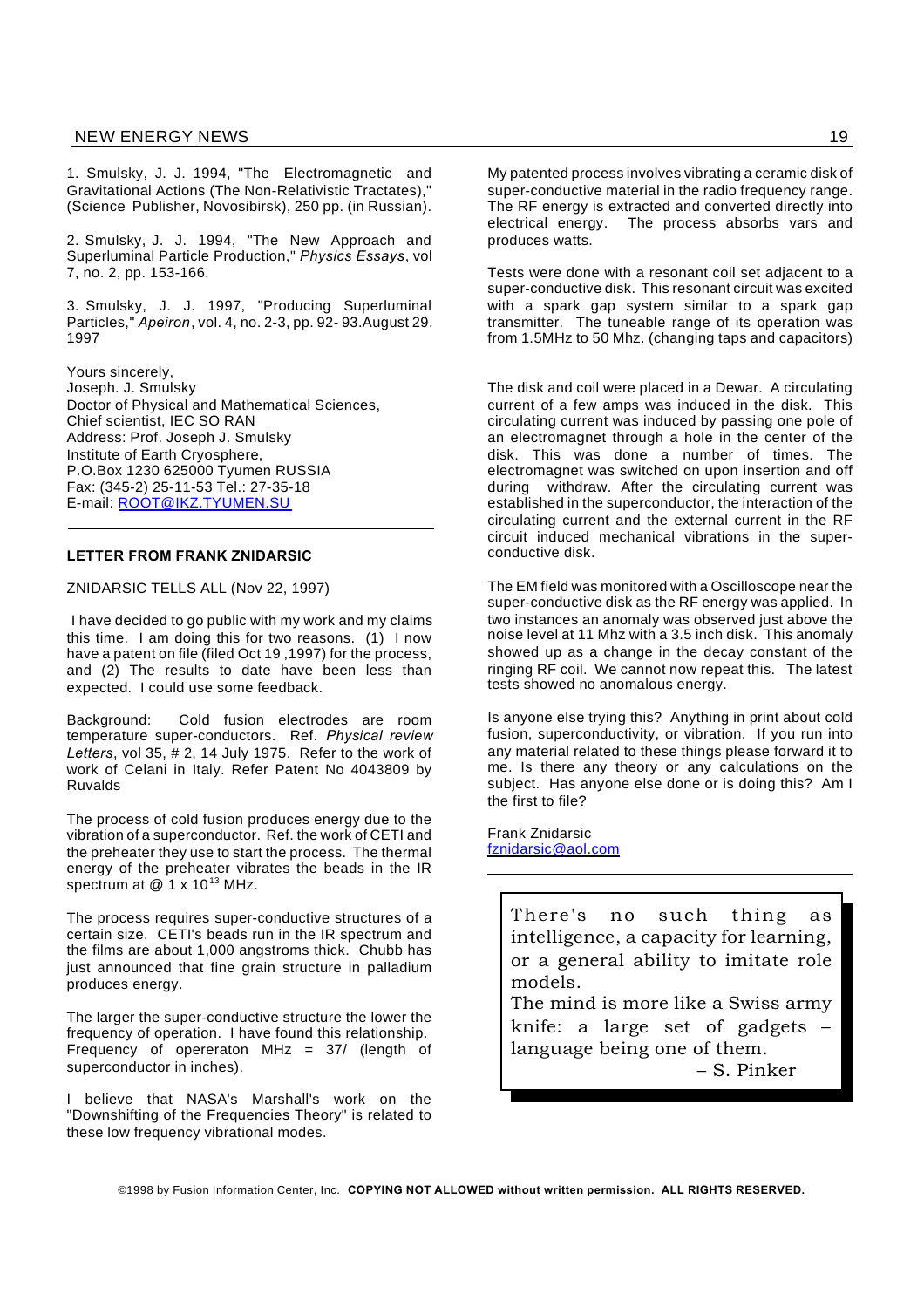1. Smulsky, J. J. 1994, "The Electromagnetic and Gravitational Actions (The Non-Relativistic Tractates)," (Science Publisher, Novosibirsk), 250 pp. (in Russian).

2. Smulsky, J. J. 1994, "The New Approach and Superluminal Particle Production," *Physics Essays*, vol 7, no. 2, pp. 153-166.

3. Smulsky, J. J. 1997, "Producing Superluminal Particles," *Apeiron*, vol. 4, no. 2-3, pp. 92- 93.August 29. 1997

Yours sincerely, Joseph. J. Smulsky Doctor of Physical and Mathematical Sciences, Chief scientist, IEC SO RAN Address: Prof. Joseph J. Smulsky Institute of Earth Cryosphere, P.O.Box 1230 625000 Tyumen RUSSIA Fax: (345-2) 25-11-53 Tel.: 27-35-18 E-mail: ROOT@IKZ.TYUMEN.SU

# **LETTER FROM FRANK ZNIDARSIC**

#### ZNIDARSIC TELLS ALL (Nov 22, 1997)

I have decided to go public with my work and my claims this time. I am doing this for two reasons. (1) I now have a patent on file (filed Oct 19 ,1997) for the process, and (2) The results to date have been less than expected. I could use some feedback.

Background: Cold fusion electrodes are room temperature super-conductors. Ref. *Physical review Letters*, vol 35, # 2, 14 July 1975. Refer to the work of work of Celani in Italy. Refer Patent No 4043809 by Ruvalds

The process of cold fusion produces energy due to the vibration of a superconductor. Ref. the work of CETI and the preheater they use to start the process. The thermal energy of the preheater vibrates the beads in the IR spectrum at  $@$  1 x 10<sup>13</sup> MHz.

The process requires super-conductive structures of a certain size. CETI's beads run in the IR spectrum and the films are about 1,000 angstroms thick. Chubb has just announced that fine grain structure in palladium produces energy.

The larger the super-conductive structure the lower the frequency of operation. I have found this relationship. Frequency of opereraton MHz = 37/ (length of superconductor in inches).

I believe that NASA's Marshall's work on the "Downshifting of the Frequencies Theory" is related to these low frequency vibrational modes.

My patented process involves vibrating a ceramic disk of super-conductive material in the radio frequency range. The RF energy is extracted and converted directly into electrical energy. The process absorbs vars and produces watts.

Tests were done with a resonant coil set adjacent to a super-conductive disk. This resonant circuit was excited with a spark gap system similar to a spark gap transmitter. The tuneable range of its operation was from 1.5MHz to 50 Mhz. (changing taps and capacitors)

The disk and coil were placed in a Dewar. A circulating current of a few amps was induced in the disk. This circulating current was induced by passing one pole of an electromagnet through a hole in the center of the disk. This was done a number of times. The electromagnet was switched on upon insertion and off during withdraw. After the circulating current was established in the superconductor, the interaction of the circulating current and the external current in the RF circuit induced mechanical vibrations in the superconductive disk.

The EM field was monitored with a Oscilloscope near the super-conductive disk as the RF energy was applied. In two instances an anomaly was observed just above the noise level at 11 Mhz with a 3.5 inch disk. This anomaly showed up as a change in the decay constant of the ringing RF coil. We cannot now repeat this. The latest tests showed no anomalous energy.

Is anyone else trying this? Anything in print about cold fusion, superconductivity, or vibration. If you run into any material related to these things please forward it to me. Is there any theory or any calculations on the subject. Has anyone else done or is doing this? Am I the first to file?

Frank Znidarsic fznidarsic@aol.com

> There's no such thing as intelligence, a capacity for learning, or a general ability to imitate role models.

The mind is more like a Swiss army knife: a large set of gadgets – language being one of them. – S. Pinker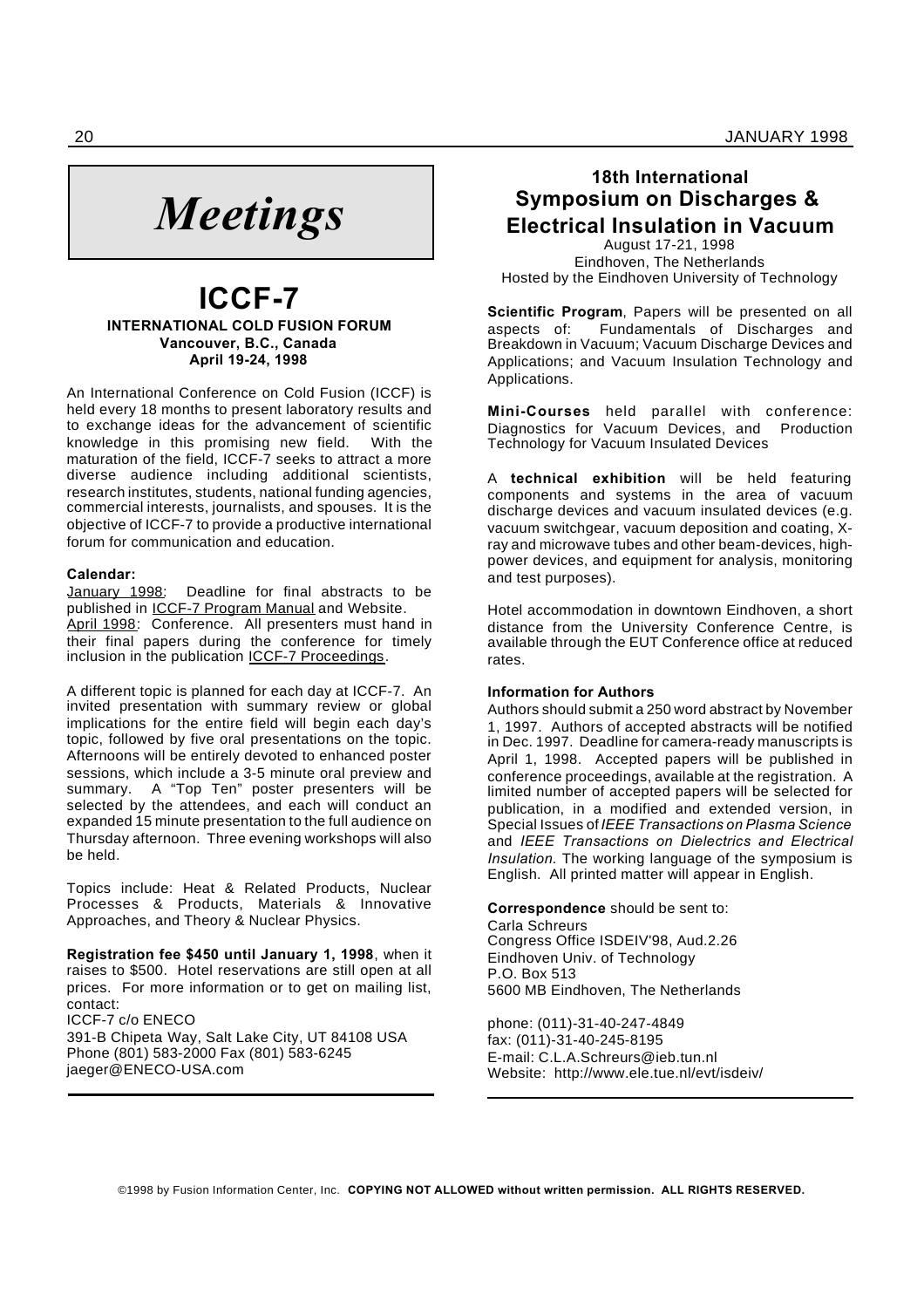

# **ICCF-7 INTERNATIONAL COLD FUSION FORUM Vancouver, B.C., Canada April 19-24, 1998**

An International Conference on Cold Fusion (ICCF) is held every 18 months to present laboratory results and to exchange ideas for the advancement of scientific knowledge in this promising new field. With the maturation of the field, ICCF-7 seeks to attract a more diverse audience including additional scientists, research institutes, students, national funding agencies, commercial interests, journalists, and spouses. It is the objective of ICCF-7 to provide a productive international forum for communication and education.

# **Calendar:**

January 1998: Deadline for final abstracts to be published in ICCF-7 Program Manual and Website. April 1998: Conference. All presenters must hand in their final papers during the conference for timely inclusion in the publication ICCF-7 Proceedings.

A different topic is planned for each day at ICCF-7. An invited presentation with summary review or global implications for the entire field will begin each day's topic, followed by five oral presentations on the topic. Afternoons will be entirely devoted to enhanced poster sessions, which include a 3-5 minute oral preview and summary. A "Top Ten" poster presenters will be selected by the attendees, and each will conduct an expanded 15 minute presentation to the full audience on Thursday afternoon. Three evening workshops will also be held.

Topics include: Heat & Related Products, Nuclear Processes & Products, Materials & Innovative Approaches, and Theory & Nuclear Physics.

**Registration fee \$450 until January 1, 1998**, when it raises to \$500. Hotel reservations are still open at all prices. For more information or to get on mailing list, contact: ICCF-7 c/o ENECO

391-B Chipeta Way, Salt Lake City, UT 84108 USA Phone (801) 583-2000 Fax (801) 583-6245 jaeger@ENECO-USA.com

# **18th International Symposium on Discharges & Electrical Insulation in Vacuum**

August 17-21, 1998 Eindhoven, The Netherlands Hosted by the Eindhoven University of Technology

**Scientific Program**, Papers will be presented on all aspects of: Fundamentals of Discharges and Breakdown in Vacuum; Vacuum Discharge Devices and Applications; and Vacuum Insulation Technology and Applications.

**Mini-Courses** held parallel with conference: Diagnostics for Vacuum Devices, and Production Technology for Vacuum Insulated Devices

A **technical exhibition** will be held featuring components and systems in the area of vacuum discharge devices and vacuum insulated devices (e.g. vacuum switchgear, vacuum deposition and coating, Xray and microwave tubes and other beam-devices, highpower devices, and equipment for analysis, monitoring and test purposes).

Hotel accommodation in downtown Eindhoven, a short distance from the University Conference Centre, is available through the EUT Conference office at reduced rates.

# **Information for Authors**

Authors should submit a 250 word abstract by November 1, 1997. Authors of accepted abstracts will be notified in Dec. 1997. Deadline for camera-ready manuscripts is April 1, 1998. Accepted papers will be published in conference proceedings, available at the registration. A limited number of accepted papers will be selected for publication, in a modified and extended version, in Special Issues of *IEEE Transactions on Plasma Science* and *IEEE Transactions on Dielectrics and Electrical Insulation.* The working language of the symposium is English. All printed matter will appear in English.

## **Correspondence** should be sent to:

Carla Schreurs Congress Office ISDEIV'98, Aud.2.26 Eindhoven Univ. of Technology P.O. Box 513 5600 MB Eindhoven, The Netherlands

phone: (011)-31-40-247-4849 fax: (011)-31-40-245-8195 E-mail: C.L.A.Schreurs@ieb.tun.nl Website: http://www.ele.tue.nl/evt/isdeiv/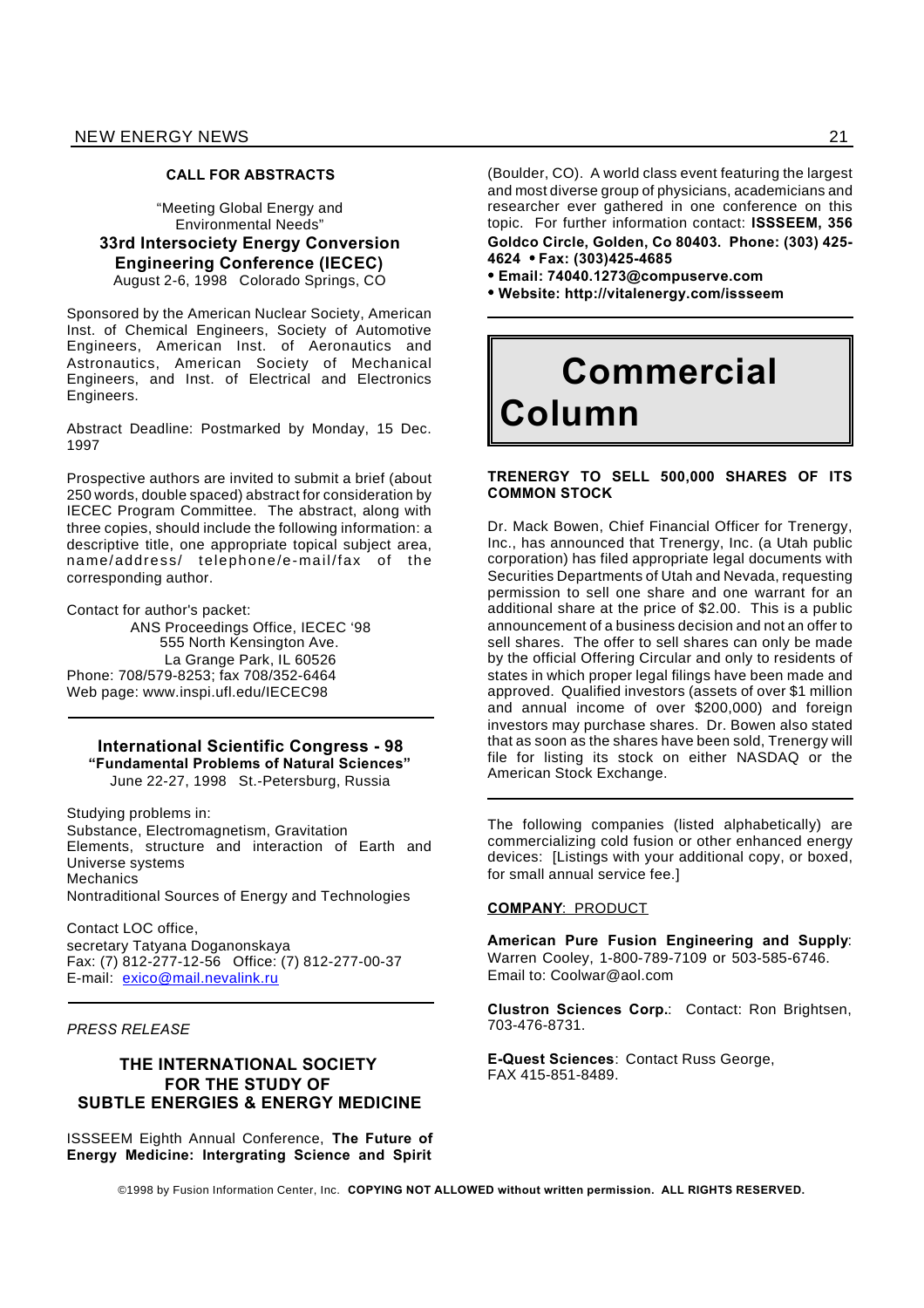#### **CALL FOR ABSTRACTS**

"Meeting Global Energy and Environmental Needs" **33rd Intersociety Energy Conversion Engineering Conference (IECEC)** August 2-6, 1998 Colorado Springs, CO

Sponsored by the American Nuclear Society, American Inst. of Chemical Engineers, Society of Automotive Engineers, American Inst. of Aeronautics and Astronautics, American Society of Mechanical Engineers, and Inst. of Electrical and Electronics Engineers.

Abstract Deadline: Postmarked by Monday, 15 Dec. 1997

Prospective authors are invited to submit a brief (about 250 words, double spaced) abstract for consideration by IECEC Program Committee. The abstract, along with three copies, should include the following information: a descriptive title, one appropriate topical subject area, name/address/ telephone/e-mail/fax of the corresponding author.

Contact for author's packet:

ANS Proceedings Office, IECEC '98 555 North Kensington Ave. La Grange Park, IL 60526 Phone: 708/579-8253; fax 708/352-6464 Web page: www.inspi.ufl.edu/IECEC98

**International Scientific Congress - 98 "Fundamental Problems of Natural Sciences"** June 22-27, 1998 St.-Petersburg, Russia

Studying problems in: Substance, Electromagnetism, Gravitation Elements, structure and interaction of Earth and Universe systems **Mechanics** Nontraditional Sources of Energy and Technologies

Contact LOC office, secretary Tatyana Doganonskaya Fax: (7) 812-277-12-56 Office: (7) 812-277-00-37 E-mail: exico@mail.nevalink.ru

*PRESS RELEASE*

# **THE INTERNATIONAL SOCIETY FOR THE STUDY OF SUBTLE ENERGIES & ENERGY MEDICINE**

ISSSEEM Eighth Annual Conference, **The Future of Energy Medicine: Intergrating Science and Spirit**

(Boulder, CO). A world class event featuring the largest and most diverse group of physicians, academicians and researcher ever gathered in one conference on this topic. For further information contact: **ISSSEEM, 356 Goldco Circle, Golden, Co 80403. Phone: (303) 425- 4624 Fax: (303)425-4685**

**Email: 74040.1273@compuserve.com**

**Website: http://vitalenergy.com/issseem**

# **Commercial Column**

# **TRENERGY TO SELL 500,000 SHARES OF ITS COMMON STOCK**

Dr. Mack Bowen, Chief Financial Officer for Trenergy, Inc., has announced that Trenergy, Inc. (a Utah public corporation) has filed appropriate legal documents with Securities Departments of Utah and Nevada, requesting permission to sell one share and one warrant for an additional share at the price of \$2.00. This is a public announcement of a business decision and not an offer to sell shares. The offer to sell shares can only be made by the official Offering Circular and only to residents of states in which proper legal filings have been made and approved. Qualified investors (assets of over \$1 million and annual income of over \$200,000) and foreign investors may purchase shares. Dr. Bowen also stated that as soon as the shares have been sold, Trenergy will file for listing its stock on either NASDAQ or the American Stock Exchange.

The following companies (listed alphabetically) are commercializing cold fusion or other enhanced energy devices: [Listings with your additional copy, or boxed, for small annual service fee.]

# **COMPANY**: PRODUCT

**American Pure Fusion Engineering and Supply**: Warren Cooley, 1-800-789-7109 or 503-585-6746. Email to: Coolwar@aol.com

**Clustron Sciences Corp.**: Contact: Ron Brightsen, 703-476-8731.

**E-Quest Sciences**: Contact Russ George, FAX 415-851-8489.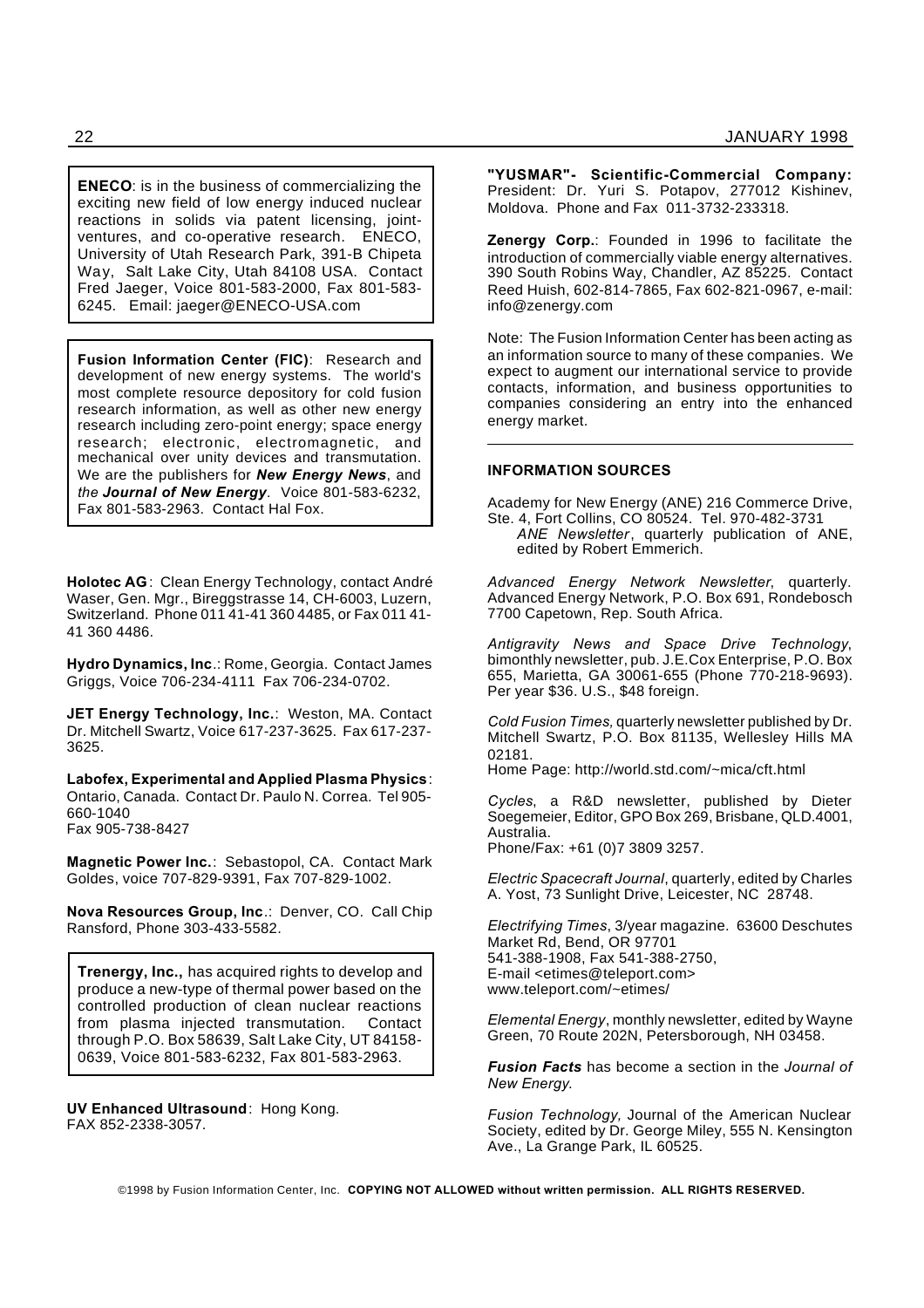**ENECO**: is in the business of commercializing the exciting new field of low energy induced nuclear reactions in solids via patent licensing, jointventures, and co-operative research. ENECO, University of Utah Research Park, 391-B Chipeta Way, Salt Lake City, Utah 84108 USA. Contact Fred Jaeger, Voice 801-583-2000, Fax 801-583- 6245. Email: jaeger@ENECO-USA.com

**Fusion Information Center (FIC)**: Research and development of new energy systems. The world's most complete resource depository for cold fusion research information, as well as other new energy research including zero-point energy; space energy research; electronic, electromagnetic, and mechanical over unity devices and transmutation. We are the publishers for *New Energy News*, and *the Journal of New Energy.* Voice 801-583-6232, Fax 801-583-2963. Contact Hal Fox.

**Holotec AG**: Clean Energy Technology, contact André Waser, Gen. Mgr., Bireggstrasse 14, CH-6003, Luzern, Switzerland. Phone 011 41-41 360 4485, or Fax 011 41- 41 360 4486.

**Hydro Dynamics, Inc**.: Rome, Georgia. Contact James Griggs, Voice 706-234-4111 Fax 706-234-0702.

**JET Energy Technology, Inc.**: Weston, MA. Contact Dr. Mitchell Swartz, Voice 617-237-3625. Fax 617-237- 3625.

**Labofex, Experimental and Applied Plasma Physics**: Ontario, Canada. Contact Dr. Paulo N. Correa. Tel 905- 660-1040 Fax 905-738-8427

**Magnetic Power Inc.**: Sebastopol, CA. Contact Mark Goldes, voice 707-829-9391, Fax 707-829-1002.

**Nova Resources Group, Inc**.: Denver, CO. Call Chip Ransford, Phone 303-433-5582.

**Trenergy, Inc.,** has acquired rights to develop and produce a new-type of thermal power based on the controlled production of clean nuclear reactions from plasma injected transmutation. Contact through P.O. Box 58639, Salt Lake City, UT 84158- 0639, Voice 801-583-6232, Fax 801-583-2963.

**UV Enhanced Ultrasound**: Hong Kong. FAX 852-2338-3057.

**"YUSMAR"- Scientific-Commercial Company:** President: Dr. Yuri S. Potapov, 277012 Kishinev, Moldova. Phone and Fax 011-3732-233318.

**Zenergy Corp.**: Founded in 1996 to facilitate the introduction of commercially viable energy alternatives. 390 South Robins Way, Chandler, AZ 85225. Contact Reed Huish, 602-814-7865, Fax 602-821-0967, e-mail: info@zenergy.com

Note: The Fusion Information Center has been acting as an information source to many of these companies. We expect to augment our international service to provide contacts, information, and business opportunities to companies considering an entry into the enhanced energy market.

# **INFORMATION SOURCES**

Academy for New Energy (ANE) 216 Commerce Drive, Ste. 4, Fort Collins, CO 80524. Tel. 970-482-3731

*ANE Newsletter*, quarterly publication of ANE, edited by Robert Emmerich.

*Advanced Energy Network Newsletter*, quarterly. Advanced Energy Network, P.O. Box 691, Rondebosch 7700 Capetown, Rep. South Africa.

*Antigravity News and Space Drive Technology*, bimonthly newsletter, pub. J.E.Cox Enterprise, P.O. Box 655, Marietta, GA 30061-655 (Phone 770-218-9693). Per year \$36. U.S., \$48 foreign.

*Cold Fusion Times,* quarterly newsletter published by Dr. Mitchell Swartz, P.O. Box 81135, Wellesley Hills MA 02181.

Home Page: http://world.std.com/~mica/cft.html

*Cycles*, a R&D newsletter, published by Dieter Soegemeier, Editor, GPO Box 269, Brisbane, QLD.4001, Australia. Phone/Fax: +61 (0)7 3809 3257.

*Electric Spacecraft Journal*, quarterly, edited by Charles A. Yost, 73 Sunlight Drive, Leicester, NC 28748.

*Electrifying Times*, 3/year magazine. 63600 Deschutes Market Rd, Bend, OR 97701 541-388-1908, Fax 541-388-2750, E-mail <etimes@teleport.com> www.teleport.com/~etimes/

*Elemental Energy*, monthly newsletter, edited by Wayne Green, 70 Route 202N, Petersborough, NH 03458.

*Fusion Facts* has become a section in the *Journal of New Energy*.

*Fusion Technology,* Journal of the American Nuclear Society, edited by Dr. George Miley, 555 N. Kensington Ave., La Grange Park, IL 60525.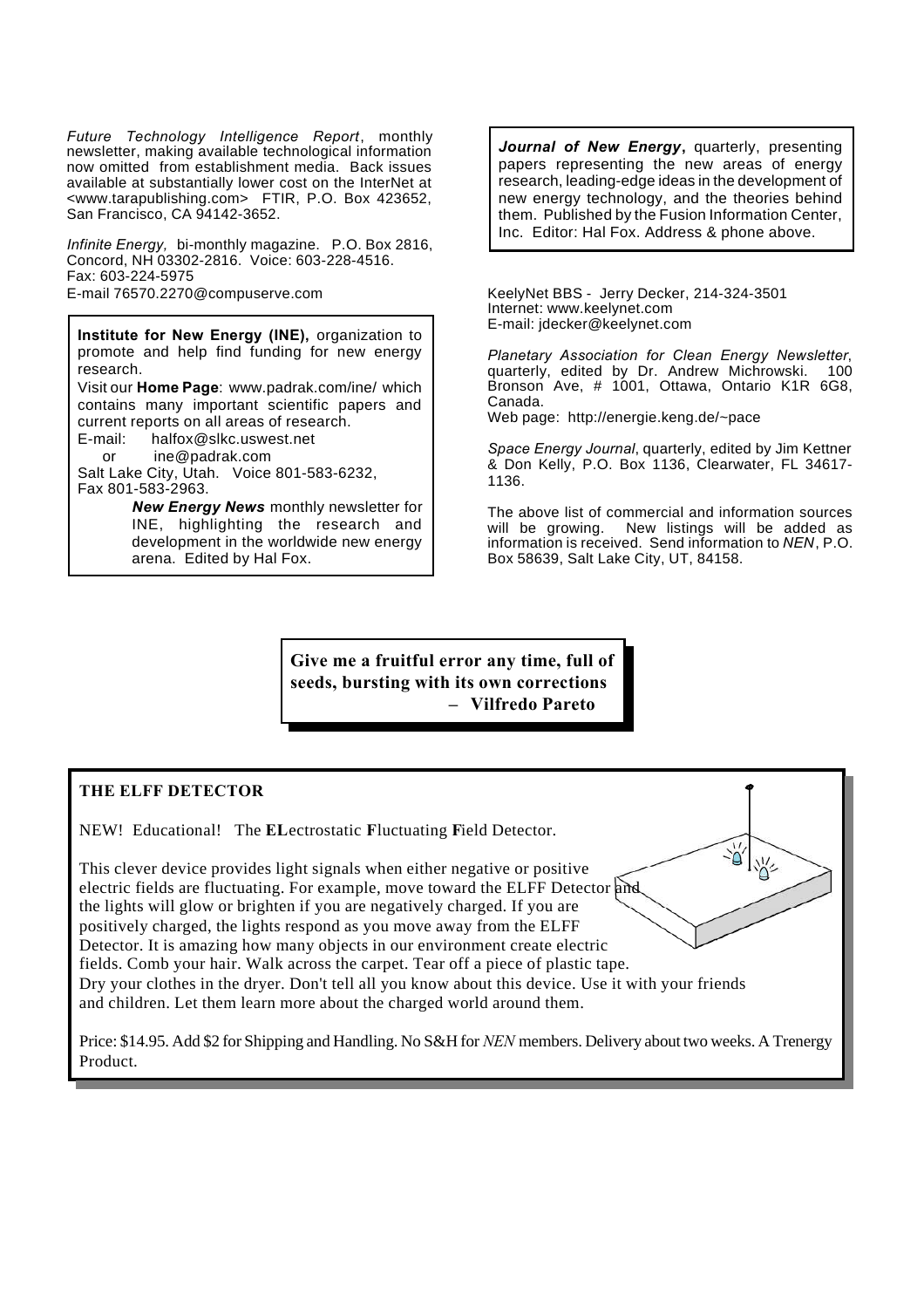*Future Technology Intelligence Report*, monthly newsletter, making available technological information now omitted from establishment media. Back issues available at substantially lower cost on the InterNet at <www.tarapublishing.com> FTIR, P.O. Box 423652, San Francisco, CA 94142-3652.

*Infinite Energy,* bi-monthly magazine. P.O. Box 2816, Concord, NH 03302-2816. Voice: 603-228-4516. Fax: 603-224-5975 E-mail 76570.2270@compuserve.com KeelyNet BBS - Jerry Decker, 214-324-3501

**Institute for New Energy (INE),** organization to promote and help find funding for new energy research. Visit our **Home Page**: www.padrak.com/ine/ which contains many important scientific papers and current reports on all areas of research. E-mail: halfox@slkc.uswest.net

or ine@padrak.com Salt Lake City, Utah. Voice 801-583-6232,

Fax 801-583-2963.

*New Energy News* monthly newsletter for INE, highlighting the research and development in the worldwide new energy arena. Edited by Hal Fox.

*Journal of New Energy***,** quarterly, presenting papers representing the new areas of energy research, leading-edge ideas in the development of new energy technology, and the theories behind them. Published by the Fusion Information Center, Inc. Editor: Hal Fox. Address & phone above.

Internet: www.keelynet.com E-mail: jdecker@keelynet.com

*Planetary Association for Clean Energy Newsletter*, quarterly, edited by Dr. Andrew Michrowski. 100 Bronson Ave, # 1001, Ottawa, Ontario K1R 6G8, Canada.

Web page: http://energie.keng.de/~pace

*Space Energy Journal*, quarterly, edited by Jim Kettner & Don Kelly, P.O. Box 1136, Clearwater, FL 34617- 1136.

The above list of commercial and information sources will be growing. New listings will be added as information is received. Send information to *NEN*, P.O. Box 58639, Salt Lake City, UT, 84158.

**Give me a fruitful error any time, full of seeds, bursting with its own corrections – Vilfredo Pareto**

# **THE ELFF DETECTOR**

NEW! Educational! The **EL**ectrostatic **F**luctuating **F**ield Detector.

This clever device provides light signals when either negative or positive electric fields are fluctuating. For example, move toward the ELFF Detector and the lights will glow or brighten if you are negatively charged. If you are positively charged, the lights respond as you move away from the ELFF Detector. It is amazing how many objects in our environment create electric fields. Comb your hair. Walk across the carpet. Tear off a piece of plastic tape. Dry your clothes in the dryer. Don't tell all you know about this device. Use it with your friends and children. Let them learn more about the charged world around them.

Price: \$14.95. Add \$2 for Shipping and Handling. No S&H for *NEN* members. Delivery about two weeks. A Trenergy Product.